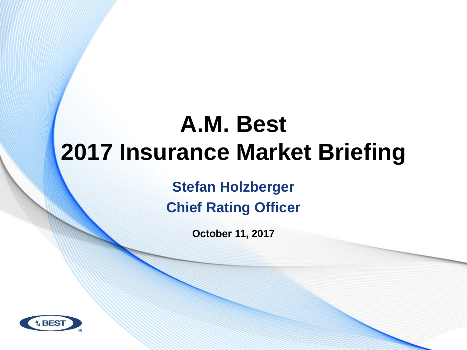# **A.M. Best 2017 Insurance Market Briefing**

**Stefan Holzberger Chief Rating Officer**

**October 11, 2017** 

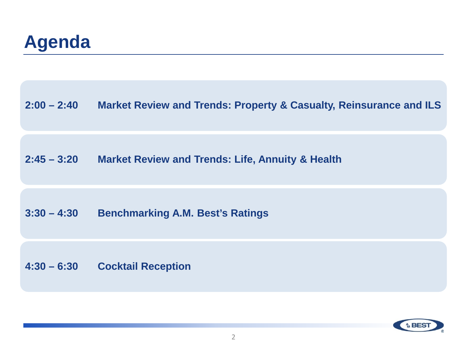#### **Agenda**

**2:00 – 2:40 Market Review and Trends: Property & Casualty, Reinsurance and ILS**

**2:45 – 3:20 Market Review and Trends: Life, Annuity & Health** 

#### **3:30 – 4:30 Benchmarking A.M. Best's Ratings**

**4:30 – 6:30 Cocktail Reception** 

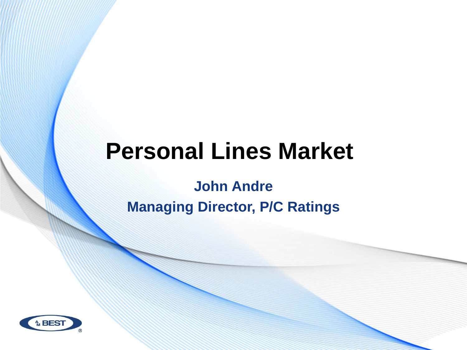# **Personal Lines Market**

**John Andre Managing Director, P/C Ratings**

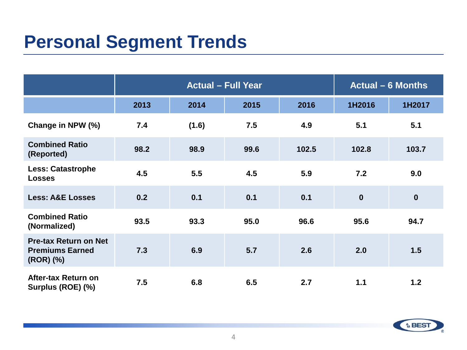### **Personal Segment Trends**

|                                                                     | <b>Actual - Full Year</b> |       |      | <b>Actual – 6 Months</b> |             |                  |
|---------------------------------------------------------------------|---------------------------|-------|------|--------------------------|-------------|------------------|
|                                                                     | 2013                      | 2014  | 2015 | 2016                     | 1H2016      | 1H2017           |
| Change in NPW (%)                                                   | 7.4                       | (1.6) | 7.5  | 4.9                      | 5.1         | 5.1              |
| <b>Combined Ratio</b><br>(Reported)                                 | 98.2                      | 98.9  | 99.6 | 102.5                    | 102.8       | 103.7            |
| <b>Less: Catastrophe</b><br><b>Losses</b>                           | 4.5                       | 5.5   | 4.5  | 5.9                      | 7.2         | 9.0              |
| <b>Less: A&amp;E Losses</b>                                         | 0.2                       | 0.1   | 0.1  | 0.1                      | $\mathbf 0$ | $\boldsymbol{0}$ |
| <b>Combined Ratio</b><br>(Normalized)                               | 93.5                      | 93.3  | 95.0 | 96.6                     | 95.6        | 94.7             |
| <b>Pre-tax Return on Net</b><br><b>Premiums Earned</b><br>(ROR) (%) | 7.3                       | 6.9   | 5.7  | 2.6                      | 2.0         | 1.5              |
| After-tax Return on<br>Surplus (ROE) (%)                            | 7.5                       | 6.8   | 6.5  | 2.7                      | 1.1         | $1.2$            |

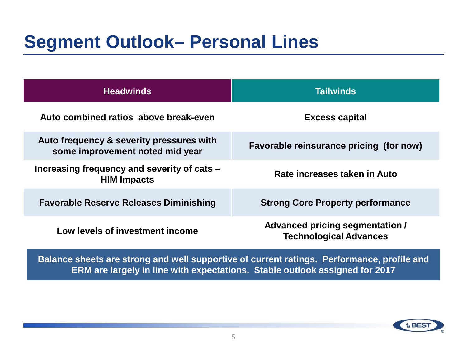#### **Segment Outlook– Personal Lines**

| <b>Headwinds</b>                                                            | <b>Tailwinds</b>                                                 |  |  |
|-----------------------------------------------------------------------------|------------------------------------------------------------------|--|--|
| Auto combined ratios above break-even                                       | <b>Excess capital</b>                                            |  |  |
| Auto frequency & severity pressures with<br>some improvement noted mid year | Favorable reinsurance pricing (for now)                          |  |  |
| Increasing frequency and severity of cats -<br><b>HIM Impacts</b>           | Rate increases taken in Auto                                     |  |  |
| <b>Favorable Reserve Releases Diminishing</b>                               | <b>Strong Core Property performance</b>                          |  |  |
| Low levels of investment income                                             | Advanced pricing segmentation /<br><b>Technological Advances</b> |  |  |

**Balance sheets are strong and well supportive of current ratings. Performance, profile and ERM are largely in line with expectations. Stable outlook assigned for 2017**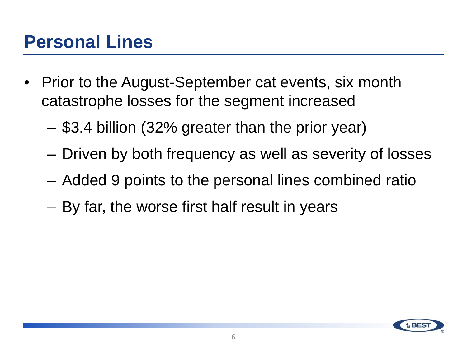### **Personal Lines**

- Prior to the August-September cat events, six month catastrophe losses for the segment increased
	- \$3.4 billion (32% greater than the prior year)
	- Driven by both frequency as well as severity of losses
	- Added 9 points to the personal lines combined ratio
	- By far, the worse first half result in years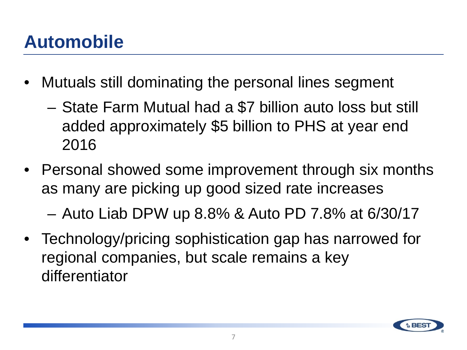# **Automobile**

- Mutuals still dominating the personal lines segment
	- State Farm Mutual had a \$7 billion auto loss but still added approximately \$5 billion to PHS at year end 2016
- Personal showed some improvement through six months as many are picking up good sized rate increases

– Auto Liab DPW up 8.8% & Auto PD 7.8% at 6/30/17

• Technology/pricing sophistication gap has narrowed for regional companies, but scale remains a key differentiator

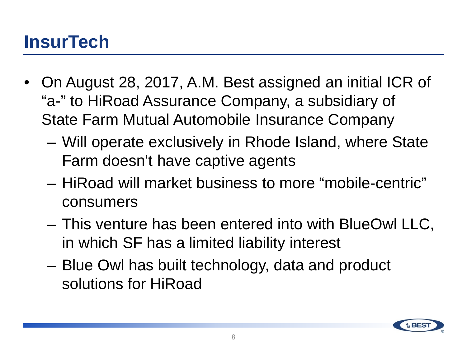### **InsurTech**

- On August 28, 2017, A.M. Best assigned an initial ICR of "a-" to HiRoad Assurance Company, a subsidiary of State Farm Mutual Automobile Insurance Company
	- Will operate exclusively in Rhode Island, where State Farm doesn't have captive agents
	- HiRoad will market business to more "mobile-centric" consumers
	- This venture has been entered into with BlueOwl LLC, in which SF has a limited liability interest
	- Blue Owl has built technology, data and product solutions for HiRoad

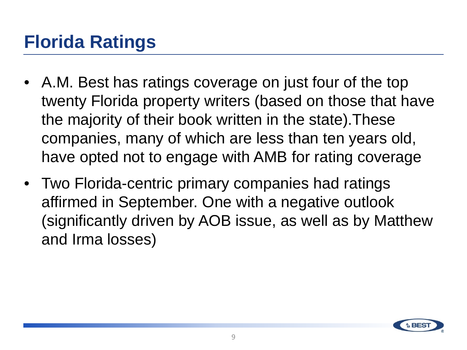# **Florida Ratings**

- A.M. Best has ratings coverage on just four of the top twenty Florida property writers (based on those that have the majority of their book written in the state).These companies, many of which are less than ten years old, have opted not to engage with AMB for rating coverage
- Two Florida-centric primary companies had ratings affirmed in September. One with a negative outlook (significantly driven by AOB issue, as well as by Matthew and Irma losses)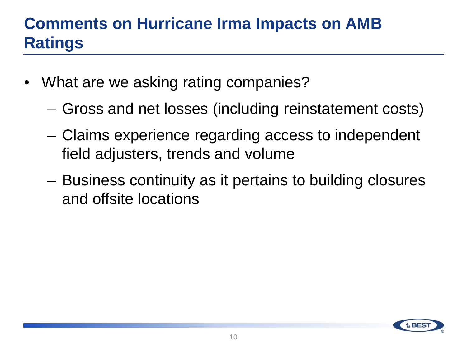#### **Comments on Hurricane Irma Impacts on AMB Ratings**

- What are we asking rating companies?
	- Gross and net losses (including reinstatement costs)
	- Claims experience regarding access to independent field adjusters, trends and volume
	- Business continuity as it pertains to building closures and offsite locations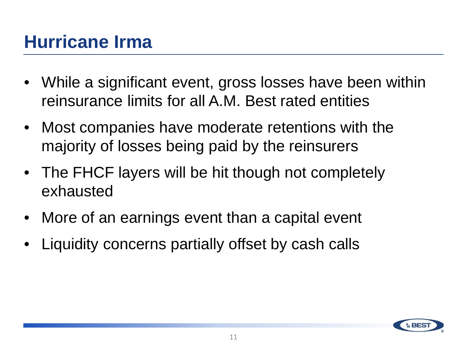## **Hurricane Irma**

- While a significant event, gross losses have been within reinsurance limits for all A.M. Best rated entities
- Most companies have moderate retentions with the majority of losses being paid by the reinsurers
- The FHCF layers will be hit though not completely exhausted
- More of an earnings event than a capital event
- Liquidity concerns partially offset by cash calls

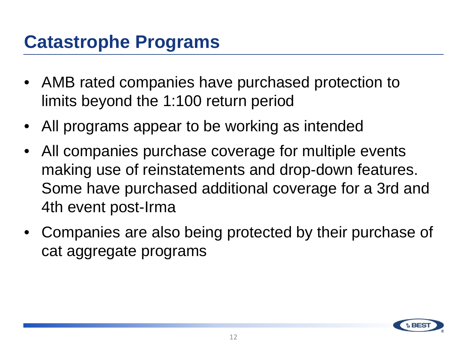#### **Catastrophe Programs**

- AMB rated companies have purchased protection to limits beyond the 1:100 return period
- All programs appear to be working as intended
- All companies purchase coverage for multiple events making use of reinstatements and drop-down features. Some have purchased additional coverage for a 3rd and 4th event post-Irma
- Companies are also being protected by their purchase of cat aggregate programs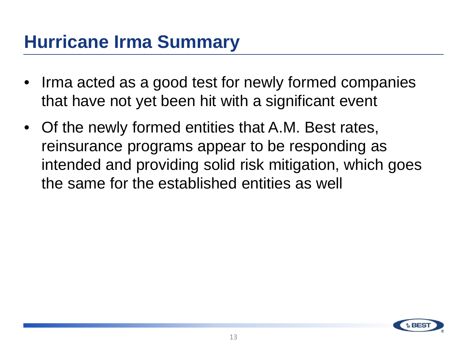### **Hurricane Irma Summary**

- Irma acted as a good test for newly formed companies that have not yet been hit with a significant event
- Of the newly formed entities that A.M. Best rates, reinsurance programs appear to be responding as intended and providing solid risk mitigation, which goes the same for the established entities as well

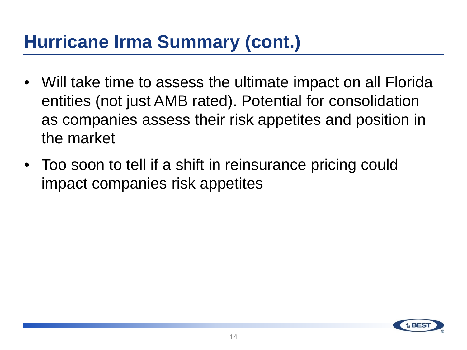## **Hurricane Irma Summary (cont.)**

- Will take time to assess the ultimate impact on all Florida entities (not just AMB rated). Potential for consolidation as companies assess their risk appetites and position in the market
- Too soon to tell if a shift in reinsurance pricing could impact companies risk appetites

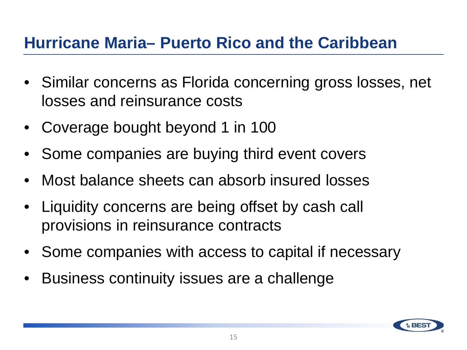#### **Hurricane Maria– Puerto Rico and the Caribbean**

- Similar concerns as Florida concerning gross losses, net losses and reinsurance costs
- Coverage bought beyond 1 in 100
- Some companies are buying third event covers
- Most balance sheets can absorb insured losses
- Liquidity concerns are being offset by cash call provisions in reinsurance contracts
- Some companies with access to capital if necessary
- Business continuity issues are a challenge

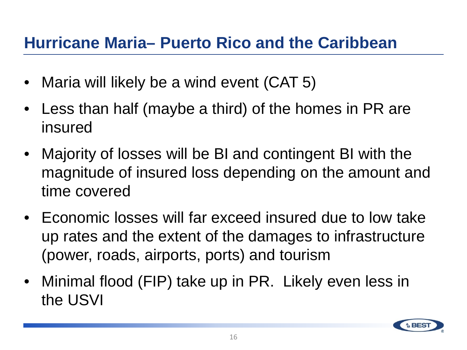#### **Hurricane Maria– Puerto Rico and the Caribbean**

- Maria will likely be a wind event (CAT 5)
- Less than half (maybe a third) of the homes in PR are insured
- Majority of losses will be BI and contingent BI with the magnitude of insured loss depending on the amount and time covered
- Economic losses will far exceed insured due to low take up rates and the extent of the damages to infrastructure (power, roads, airports, ports) and tourism
- Minimal flood (FIP) take up in PR. Likely even less in the USVI

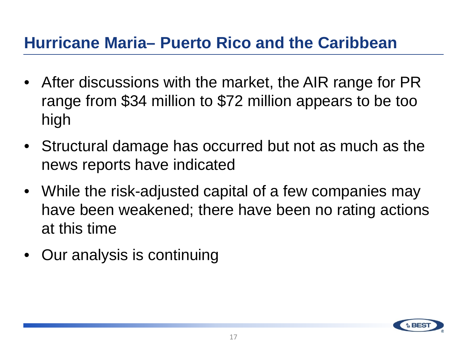#### **Hurricane Maria– Puerto Rico and the Caribbean**

- After discussions with the market, the AIR range for PR range from \$34 million to \$72 million appears to be too high
- Structural damage has occurred but not as much as the news reports have indicated
- While the risk-adjusted capital of a few companies may have been weakened; there have been no rating actions at this time
- Our analysis is continuing

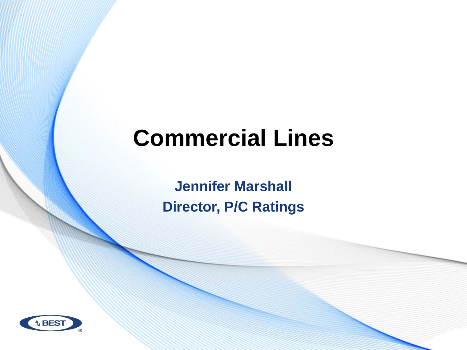# **Commercial Lines**

**Jennifer Marshall Director, P/C Ratings** 

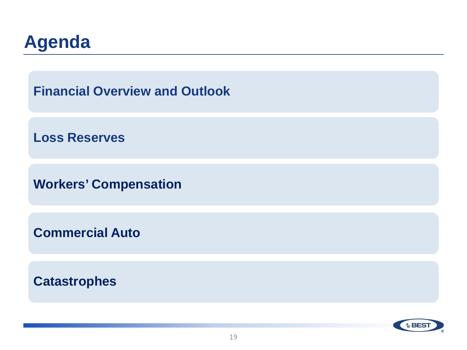

**Financial Overview and Outlook** 

**Loss Reserves**

**Workers' Compensation** 

**Commercial Auto** 

**Catastrophes** 

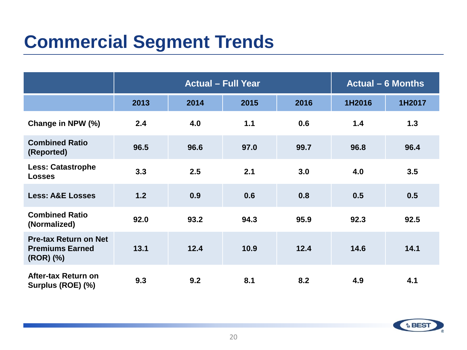## **Commercial Segment Trends**

|                                                                     | <b>Actual - Full Year</b> |      |       | <b>Actual – 6 Months</b> |        |        |
|---------------------------------------------------------------------|---------------------------|------|-------|--------------------------|--------|--------|
|                                                                     | 2013                      | 2014 | 2015  | 2016                     | 1H2016 | 1H2017 |
| Change in NPW (%)                                                   | 2.4                       | 4.0  | $1.1$ | 0.6                      | 1.4    | 1.3    |
| <b>Combined Ratio</b><br>(Reported)                                 | 96.5                      | 96.6 | 97.0  | 99.7                     | 96.8   | 96.4   |
| <b>Less: Catastrophe</b><br><b>Losses</b>                           | 3.3                       | 2.5  | 2.1   | 3.0                      | 4.0    | 3.5    |
| <b>Less: A&amp;E Losses</b>                                         | 1.2                       | 0.9  | 0.6   | 0.8                      | 0.5    | 0.5    |
| <b>Combined Ratio</b><br>(Normalized)                               | 92.0                      | 93.2 | 94.3  | 95.9                     | 92.3   | 92.5   |
| <b>Pre-tax Return on Net</b><br><b>Premiums Earned</b><br>(ROR) (%) | 13.1                      | 12.4 | 10.9  | 12.4                     | 14.6   | 14.1   |
| After-tax Return on<br>Surplus (ROE) (%)                            | 9.3                       | 9.2  | 8.1   | 8.2                      | 4.9    | 4.1    |

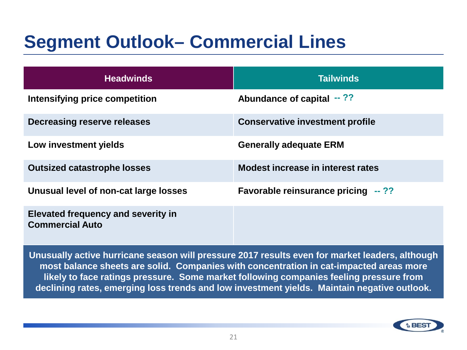### **Segment Outlook– Commercial Lines**

| <b>Headwinds</b>                                                    | <b>Tailwinds</b>                          |
|---------------------------------------------------------------------|-------------------------------------------|
| Intensifying price competition                                      | Abundance of capital $-$ ??               |
| Decreasing reserve releases                                         | <b>Conservative investment profile</b>    |
| Low investment yields                                               | <b>Generally adequate ERM</b>             |
| <b>Outsized catastrophe losses</b>                                  | Modest increase in interest rates         |
| Unusual level of non-cat large losses                               | <b>Favorable reinsurance pricing --??</b> |
| <b>Elevated frequency and severity in</b><br><b>Commercial Auto</b> |                                           |

**Unusually active hurricane season will pressure 2017 results even for market leaders, although most balance sheets are solid. Companies with concentration in cat-impacted areas more likely to face ratings pressure. Some market following companies feeling pressure from declining rates, emerging loss trends and low investment yields. Maintain negative outlook.**

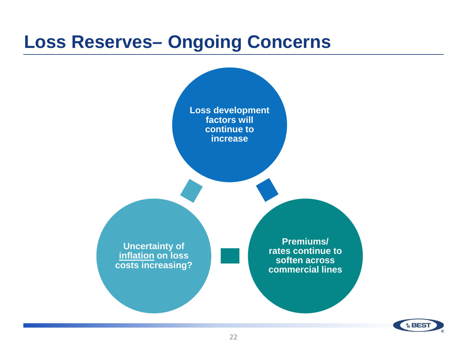#### **Loss Reserves– Ongoing Concerns**



**A BES**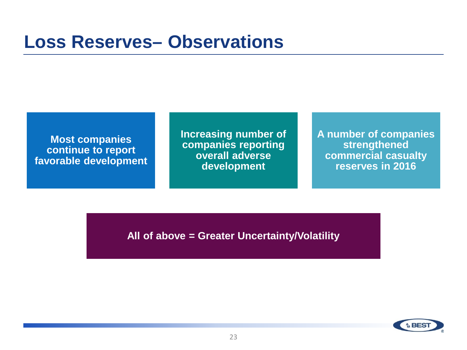#### **Loss Reserves– Observations**

**A number of companies strengthened commercial casualty reserves in 2016**

**Increasing number of companies reporting overall adverse development**

**Most companies continue to report favorable development**

**All of above = Greater Uncertainty/Volatility**

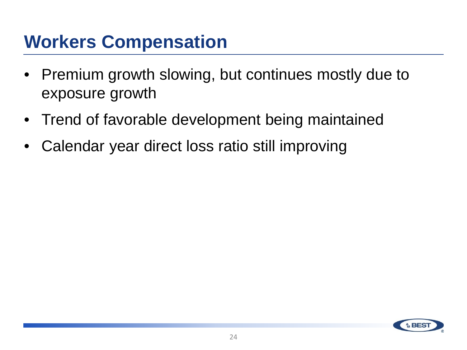#### **Workers Compensation**

- Premium growth slowing, but continues mostly due to exposure growth
- Trend of favorable development being maintained
- Calendar year direct loss ratio still improving

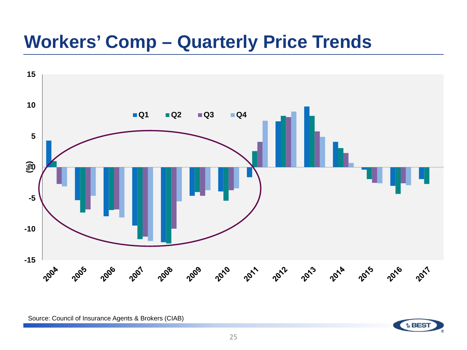#### **Workers' Comp – Quarterly Price Trends**



Source: Council of Insurance Agents & Brokers (CIAB)

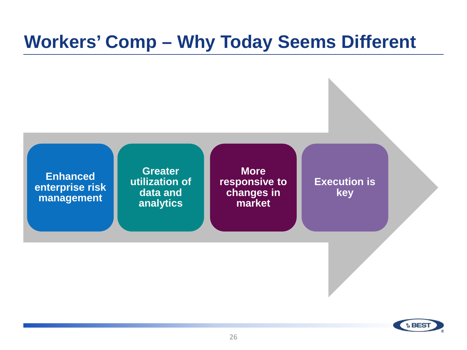#### **Workers' Comp – Why Today Seems Different**



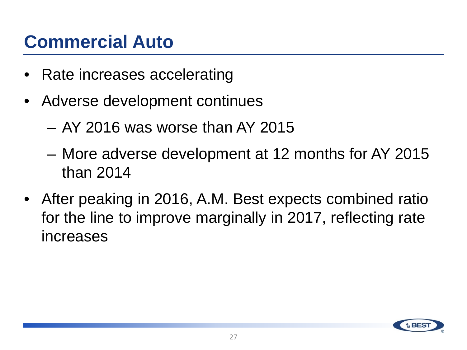## **Commercial Auto**

- Rate increases accelerating
- Adverse development continues
	- AY 2016 was worse than AY 2015
	- More adverse development at 12 months for AY 2015 than 2014
- After peaking in 2016, A.M. Best expects combined ratio for the line to improve marginally in 2017, reflecting rate increases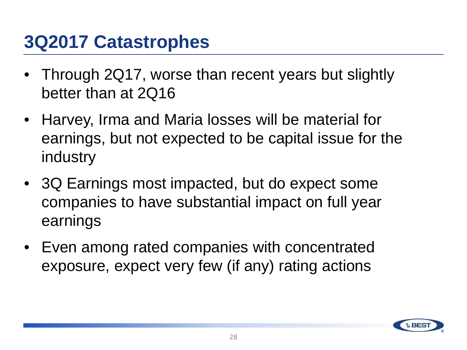#### **3Q2017 Catastrophes**

- Through 2Q17, worse than recent years but slightly better than at 2Q16
- Harvey, Irma and Maria losses will be material for earnings, but not expected to be capital issue for the industry
- 3Q Earnings most impacted, but do expect some companies to have substantial impact on full year earnings
- Even among rated companies with concentrated exposure, expect very few (if any) rating actions

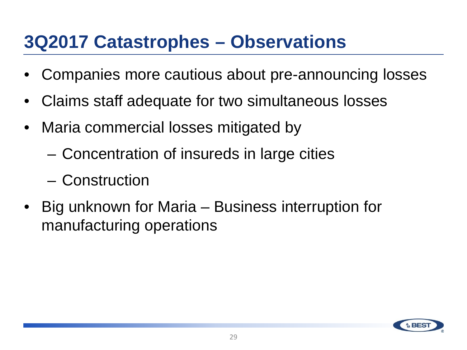#### **3Q2017 Catastrophes – Observations**

- Companies more cautious about pre-announcing losses
- Claims staff adequate for two simultaneous losses
- Maria commercial losses mitigated by
	- Concentration of insureds in large cities
	- Construction
- Big unknown for Maria Business interruption for manufacturing operations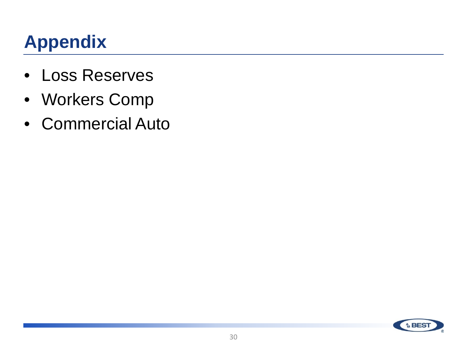# **Appendix**

- Loss Reserves
- Workers Comp
- Commercial Auto

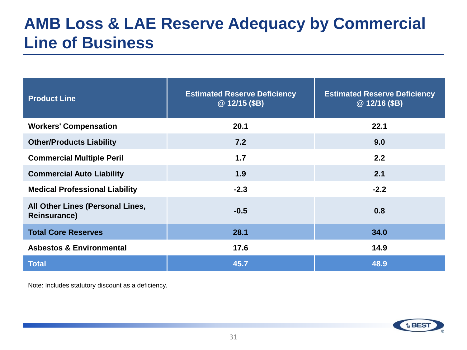#### **AMB Loss & LAE Reserve Adequacy by Commercial Line of Business**

| <b>Product Line</b>                                     | <b>Estimated Reserve Deficiency</b><br>@12/15(SB) | <b>Estimated Reserve Deficiency</b><br>@12/16(SB) |
|---------------------------------------------------------|---------------------------------------------------|---------------------------------------------------|
| <b>Workers' Compensation</b>                            | 20.1                                              | 22.1                                              |
| <b>Other/Products Liability</b>                         | 7.2                                               | 9.0                                               |
| <b>Commercial Multiple Peril</b>                        | 1.7                                               | 2.2                                               |
| <b>Commercial Auto Liability</b>                        | 1.9                                               | 2.1                                               |
| <b>Medical Professional Liability</b>                   | $-2.3$                                            | $-2.2$                                            |
| All Other Lines (Personal Lines,<br><b>Reinsurance)</b> | $-0.5$                                            | 0.8                                               |
| <b>Total Core Reserves</b>                              | 28.1                                              | 34.0                                              |
| <b>Asbestos &amp; Environmental</b>                     | 17.6                                              | 14.9                                              |
| <b>Total</b>                                            | 45.7                                              | 48.9                                              |

Note: Includes statutory discount as a deficiency.

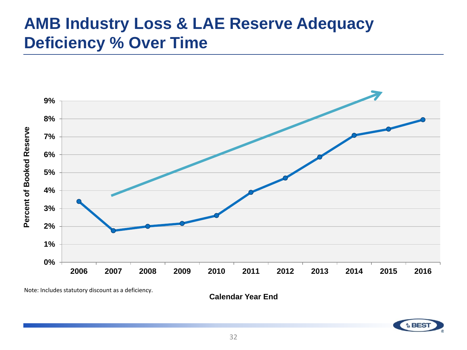#### **AMB Industry Loss & LAE Reserve Adequacy Deficiency % Over Time**



**Calendar Year End**

**A** BES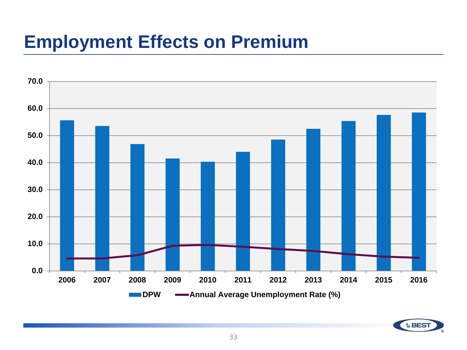#### **Employment Effects on Premium**



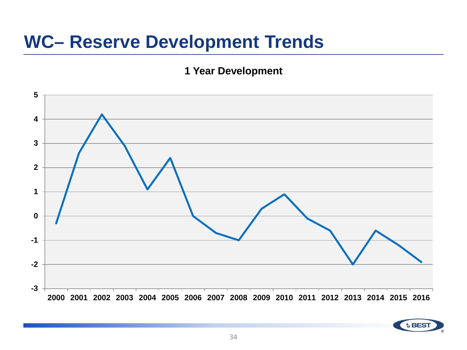#### **WC– Reserve Development Trends**

#### **1 Year Development**

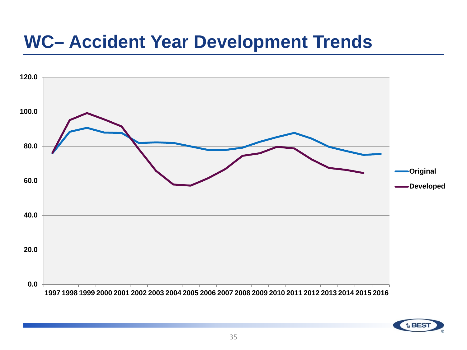#### **WC– Accident Year Development Trends**



**A** BES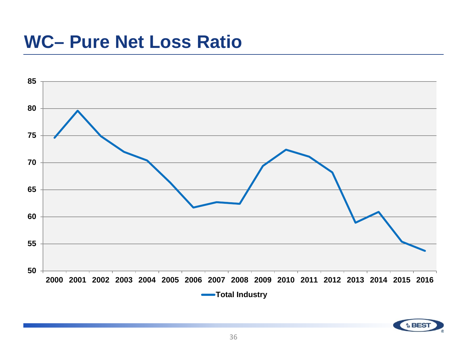#### **WC– Pure Net Loss Ratio**



**↑ BES**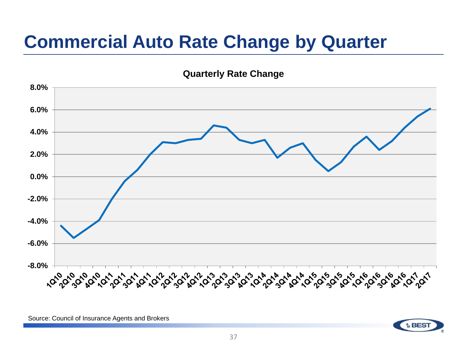## **Commercial Auto Rate Change by Quarter**

**Quarterly Rate Change**



Source: Council of Insurance Agents and Brokers

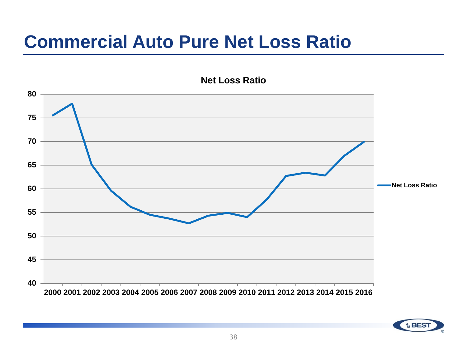### **Commercial Auto Pure Net Loss Ratio**





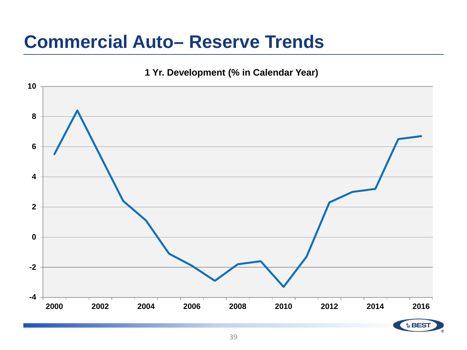#### **Commercial Auto– Reserve Trends**

**1 Yr. Development (% in Calendar Year)**

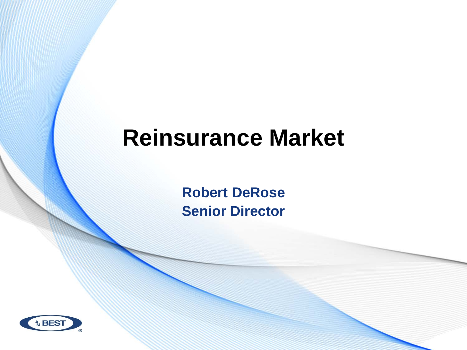# **Reinsurance Market**

**Robert DeRose Senior Director**

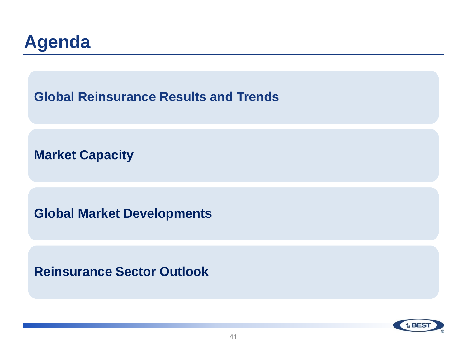

**Global Reinsurance Results and Trends** 

**Market Capacity** 

**Global Market Developments**

**Reinsurance Sector Outlook** 

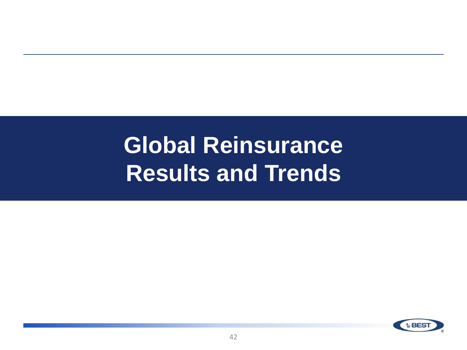# **Global Reinsurance Results and Trends**

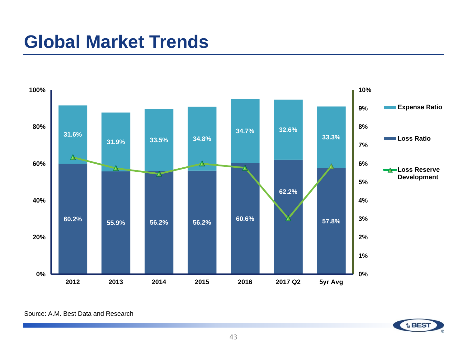

Source: A.M. Best Data and Research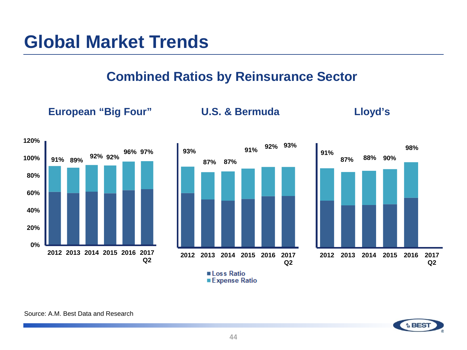#### **Combined Ratios by Reinsurance Sector**

**European "Big Four" U.S. & Bermuda Lloyd's**





**91% 87% 88% 90% 2012 2013 2014 2015 2016 2017 Q2**

Loss Ratio ■ Expense Ratio

Source: A.M. Best Data and Research



**98%**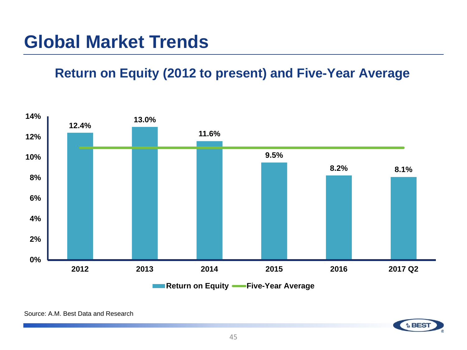#### **Return on Equity (2012 to present) and Five-Year Average**

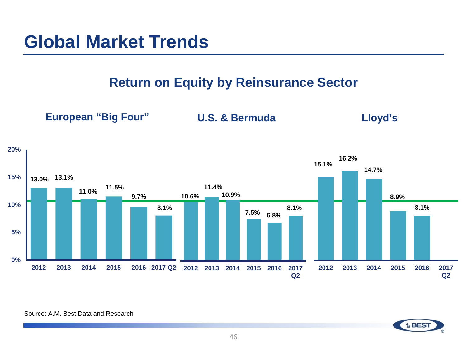**Return on Equity by Reinsurance Sector**

**European "Big Four" U.S. & Bermuda Lloyd's**



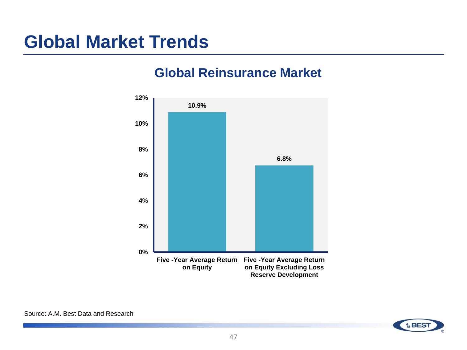#### **Global Reinsurance Market**



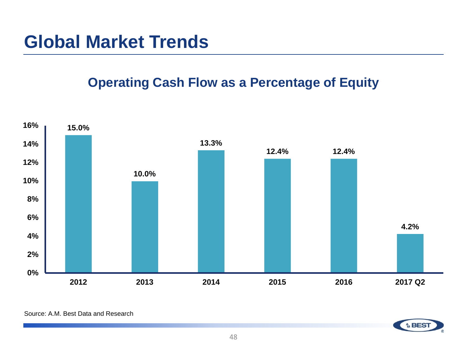#### **Operating Cash Flow as a Percentage of Equity**



Source: A.M. Best Data and Research

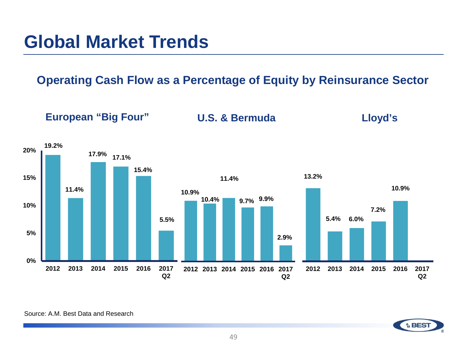**Operating Cash Flow as a Percentage of Equity by Reinsurance Sector**



Source: A.M. Best Data and Research

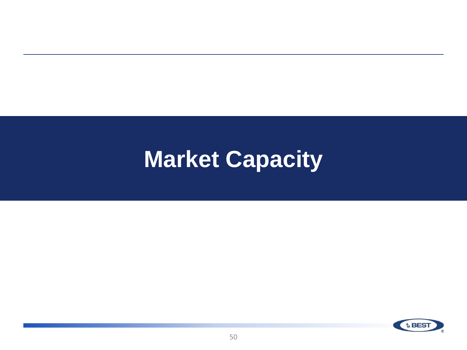# **Market Capacity**

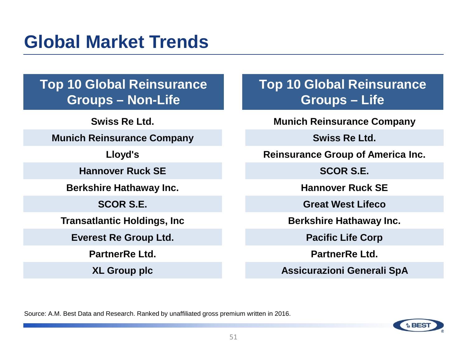**Top 10 Global Reinsurance Groups – Non-Life**

**Swiss Re Ltd.** 

**Munich Reinsurance Company** 

**Lloyd's** 

**Hannover Ruck SE** 

**Berkshire Hathaway Inc.** 

**SCOR S.E.**

**Transatlantic Holdings, Inc**

**Everest Re Group Ltd.** 

**PartnerRe Ltd.**

**XL Group plc**

**Top 10 Global Reinsurance Groups – Life**

**Munich Reinsurance Company**

**Swiss Re Ltd.** 

**Reinsurance Group of America Inc.** 

**SCOR S.E.**

**Hannover Ruck SE**

**Great West Lifeco**

**Berkshire Hathaway Inc.**

**Pacific Life Corp**

**PartnerRe Ltd.** 

**Assicurazioni Generali SpA**

Source: A.M. Best Data and Research. Ranked by unaffiliated gross premium written in 2016.

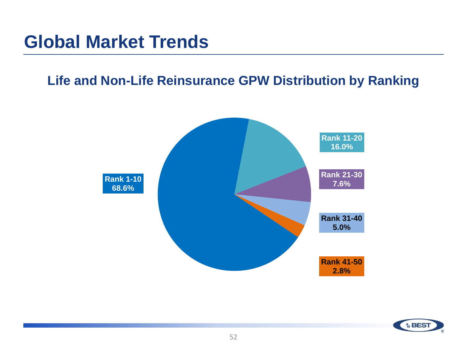#### **Life and Non-Life Reinsurance GPW Distribution by Ranking**



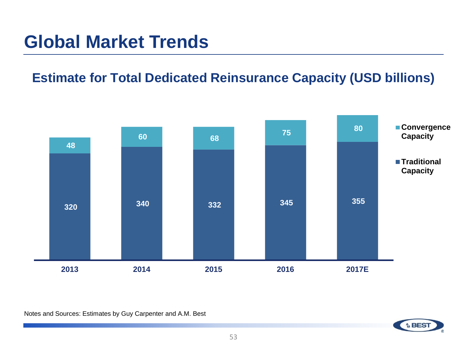#### **Estimate for Total Dedicated Reinsurance Capacity (USD billions)**



Notes and Sources: Estimates by Guy Carpenter and A.M. Best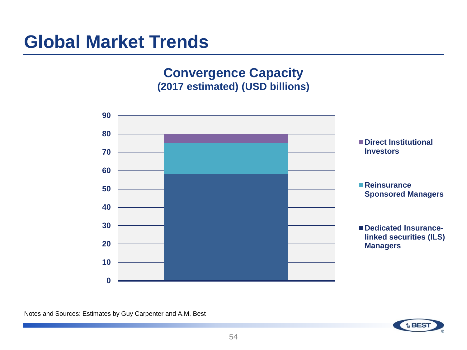#### **Convergence Capacity (2017 estimated) (USD billions)**



Notes and Sources: Estimates by Guy Carpenter and A.M. Best

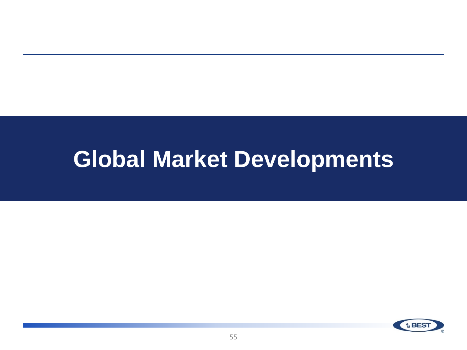# **Global Market Developments**

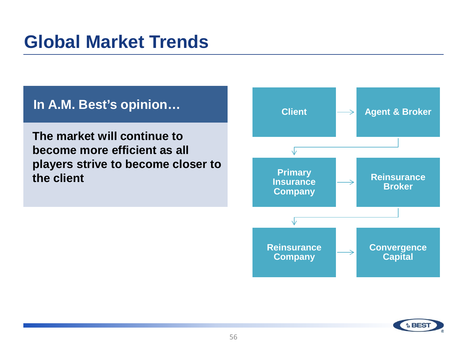#### **In A.M. Best's opinion…**

**The market will continue to become more efficient as all players strive to become closer to the client**



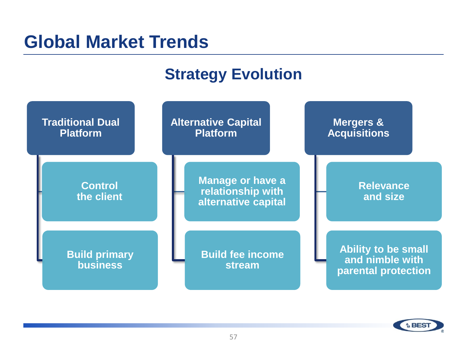#### **Strategy Evolution**



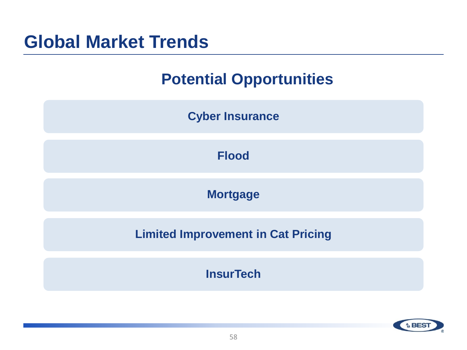#### **Potential Opportunities**



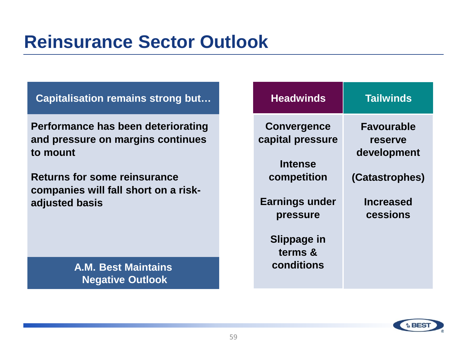## **Reinsurance Sector Outlook**

**Capitalisation remains strong but…** 

**Performance has been deteriorating and pressure on margins continues to mount**

**Returns for some reinsurance companies will fall short on a riskadjusted basis**

> **A.M. Best Maintains Negative Outlook**

| <b>Tailwinds</b>                            |
|---------------------------------------------|
| <b>Favourable</b><br>reserve<br>development |
| (Catastrophes)                              |
| <b>Increased</b><br>cessions                |
|                                             |
|                                             |

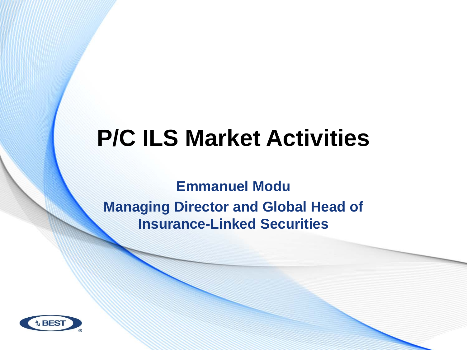# **P/C ILS Market Activities**

**Emmanuel Modu Managing Director and Global Head of Insurance-Linked Securities** 

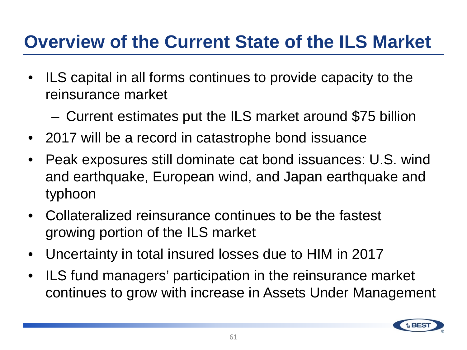## **Overview of the Current State of the ILS Market**

- ILS capital in all forms continues to provide capacity to the reinsurance market
	- Current estimates put the ILS market around \$75 billion
- 2017 will be a record in catastrophe bond issuance
- Peak exposures still dominate cat bond issuances: U.S. wind and earthquake, European wind, and Japan earthquake and typhoon
- Collateralized reinsurance continues to be the fastest growing portion of the ILS market
- Uncertainty in total insured losses due to HIM in 2017
- ILS fund managers' participation in the reinsurance market continues to grow with increase in Assets Under Management

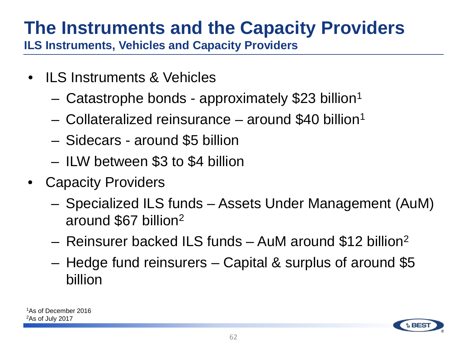# **The Instruments and the Capacity Providers**

**ILS Instruments, Vehicles and Capacity Providers** 

- **ILS Instruments & Vehicles** 
	- Catastrophe bonds approximately \$23 billion1
	- Collateralized reinsurance around \$40 billion1
	- Sidecars around \$5 billion
	- ILW between \$3 to \$4 billion
- Capacity Providers
	- Specialized ILS funds Assets Under Management (AuM) around \$67 billion2
	- Reinsurer backed ILS funds AuM around \$12 billion2
	- Hedge fund reinsurers Capital & surplus of around \$5 billion

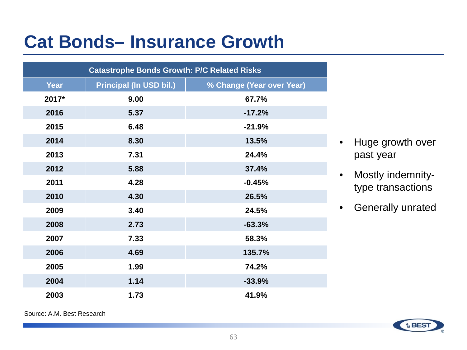## **Cat Bonds– Insurance Growth**

| <b>Catastrophe Bonds Growth: P/C Related Risks</b> |                                |                           |  |  |
|----------------------------------------------------|--------------------------------|---------------------------|--|--|
| Year                                               | <b>Principal (In USD bil.)</b> | % Change (Year over Year) |  |  |
| 2017*                                              | 9.00                           | 67.7%                     |  |  |
| 2016                                               | 5.37                           | $-17.2%$                  |  |  |
| 2015                                               | 6.48                           | $-21.9%$                  |  |  |
| 2014                                               | 8.30                           | 13.5%                     |  |  |
| 2013                                               | 7.31                           | 24.4%                     |  |  |
| 2012                                               | 5.88                           | 37.4%                     |  |  |
| 2011                                               | 4.28                           | $-0.45%$                  |  |  |
| 2010                                               | 4.30                           | 26.5%                     |  |  |
| 2009                                               | 3.40                           | 24.5%                     |  |  |
| 2008                                               | 2.73                           | $-63.3%$                  |  |  |
| 2007                                               | 7.33                           | 58.3%                     |  |  |
| 2006                                               | 4.69                           | 135.7%                    |  |  |
| 2005                                               | 1.99                           | 74.2%                     |  |  |
| 2004                                               | 1.14                           | $-33.9%$                  |  |  |
| 2003                                               | 1.73                           | 41.9%                     |  |  |

- Huge growth over past year
- Mostly indemnitytype transactions
- Generally unrated

Source: A.M. Best Research

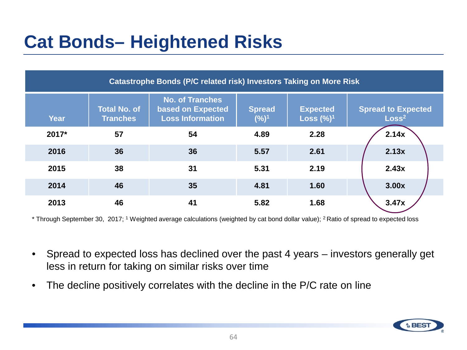# **Cat Bonds– Heightened Risks**

| Catastrophe Bonds (P/C related risk) Investors Taking on More Risk |                                        |                                                                        |                          |                                    |                                                |
|--------------------------------------------------------------------|----------------------------------------|------------------------------------------------------------------------|--------------------------|------------------------------------|------------------------------------------------|
| <b>Year</b>                                                        | <b>Total No. of</b><br><b>Tranches</b> | <b>No. of Tranches</b><br>based on Expected<br><b>Loss Information</b> | <b>Spread</b><br>$(%)^1$ | <b>Expected</b><br>Loss $(\%)^{1}$ | <b>Spread to Expected</b><br>Loss <sup>2</sup> |
| 2017*                                                              | 57                                     | 54                                                                     | 4.89                     | 2.28                               | 2.14x                                          |
| 2016                                                               | 36                                     | 36                                                                     | 5.57                     | 2.61                               | 2.13x                                          |
| 2015                                                               | 38                                     | 31                                                                     | 5.31                     | 2.19                               | 2.43x                                          |
| 2014                                                               | 46                                     | 35                                                                     | 4.81                     | 1.60                               | 3.00x                                          |
| 2013                                                               | 46                                     | 41                                                                     | 5.82                     | 1.68                               | 3.47x                                          |

\* Through September 30, 2017; 1 Weighted average calculations (weighted by cat bond dollar value); 2 Ratio of spread to expected loss

- Spread to expected loss has declined over the past 4 years investors generally get less in return for taking on similar risks over time
- The decline positively correlates with the decline in the P/C rate on line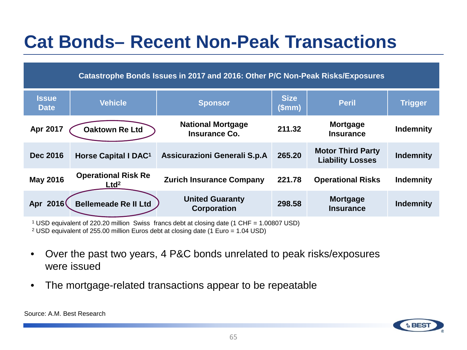# **Cat Bonds– Recent Non-Peak Transactions**

| Catastrophe Bonds Issues in 2017 and 2016: Other P/C Non-Peak Risks/Exposures |                                                |                                              |                       |                                                     |                  |
|-------------------------------------------------------------------------------|------------------------------------------------|----------------------------------------------|-----------------------|-----------------------------------------------------|------------------|
| <b>Issue</b><br><b>Date</b>                                                   | <b>Vehicle</b>                                 | <b>Sponsor</b>                               | <b>Size</b><br>(\$mm) | <b>Peril</b>                                        | <b>Trigger</b>   |
| Apr 2017                                                                      | <b>Oaktown Re Ltd</b>                          | <b>National Mortgage</b><br>Insurance Co.    | 211.32                | <b>Mortgage</b><br><b>Insurance</b>                 | <b>Indemnity</b> |
| <b>Dec 2016</b>                                                               | Horse Capital I DAC <sup>1</sup>               | Assicurazioni Generali S.p.A                 | 265.20                | <b>Motor Third Party</b><br><b>Liability Losses</b> | <b>Indemnity</b> |
| <b>May 2016</b>                                                               | <b>Operational Risk Re</b><br>Ltd <sup>2</sup> | <b>Zurich Insurance Company</b>              | 221.78                | <b>Operational Risks</b>                            | <b>Indemnity</b> |
| Apr 2016                                                                      | <b>Bellemeade Re II Ltd</b>                    | <b>United Guaranty</b><br><b>Corporation</b> | 298.58                | <b>Mortgage</b><br><b>Insurance</b>                 | <b>Indemnity</b> |

<sup>1</sup> USD equivalent of 220.20 million Swiss francs debt at closing date (1 CHF = 1.00807 USD)

<sup>2</sup> USD equivalent of 255.00 million Euros debt at closing date (1 Euro = 1.04 USD)

- Over the past two years, 4 P&C bonds unrelated to peak risks/exposures were issued
- The mortgage-related transactions appear to be repeatable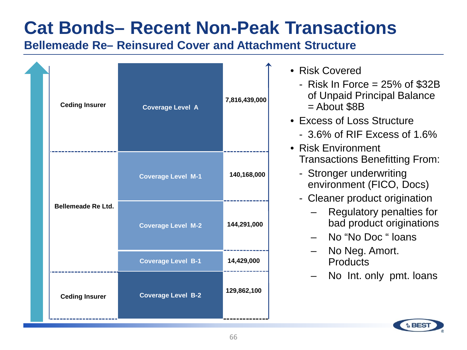## **Cat Bonds– Recent Non-Peak Transactions**

#### **Bellemeade Re– Reinsured Cover and Attachment Structure**

| <b>Ceding Insurer</b>     | <b>Coverage Level A</b>   | 7,816,439,000 |
|---------------------------|---------------------------|---------------|
|                           | <b>Coverage Level M-1</b> | 140,168,000   |
| <b>Bellemeade Re Ltd.</b> | <b>Coverage Level M-2</b> | 144,291,000   |
|                           | <b>Coverage Level B-1</b> | 14,429,000    |
| <b>Ceding Insurer</b>     | <b>Coverage Level B-2</b> | 129,862,100   |

- Risk Covered
	- Risk In Force  $= 25\%$  of \$32B of Unpaid Principal Balance  $=$  About \$8B
- Excess of Loss Structure
	- 3.6% of RIF Excess of 1.6%
- Risk Environment Transactions Benefitting From:
	- Stronger underwriting environment (FICO, Docs)
	- Cleaner product origination
		- Regulatory penalties for bad product originations
		- No "No Doc " loans
		- No Neg. Amort. **Products**
		- No Int. only pmt. loans

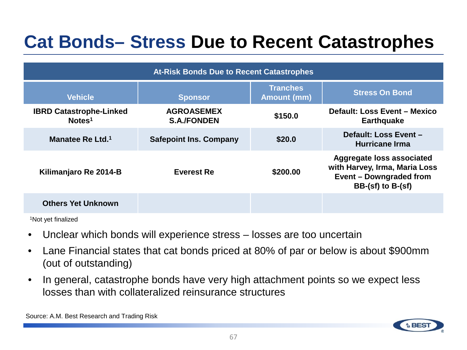## **Cat Bonds– Stress Due to Recent Catastrophes**

| <b>At-Risk Bonds Due to Recent Catastrophes</b>      |                                         |                                       |                                                                                                                       |  |
|------------------------------------------------------|-----------------------------------------|---------------------------------------|-----------------------------------------------------------------------------------------------------------------------|--|
| <b>Vehicle</b>                                       | <b>Sponsor</b>                          | <b>Tranches</b><br><b>Amount (mm)</b> | <b>Stress On Bond</b>                                                                                                 |  |
| <b>IBRD Catastrophe-Linked</b><br>Notes <sup>1</sup> | <b>AGROASEMEX</b><br><b>S.A./FONDEN</b> | \$150.0                               | <b>Default: Loss Event - Mexico</b><br><b>Earthquake</b>                                                              |  |
| Manatee Re Ltd. <sup>1</sup>                         | <b>Safepoint Ins. Company</b>           | \$20.0                                | Default: Loss Event -<br><b>Hurricane Irma</b>                                                                        |  |
| Kilimanjaro Re 2014-B                                | <b>Everest Re</b>                       | \$200.00                              | <b>Aggregate loss associated</b><br>with Harvey, Irma, Maria Loss<br>Event - Downgraded from<br>$BB-(sf)$ to $B-(sf)$ |  |
| <b>Others Yet Unknown</b>                            |                                         |                                       |                                                                                                                       |  |

1Not yet finalized

- Unclear which bonds will experience stress losses are too uncertain
- Lane Financial states that cat bonds priced at 80% of par or below is about \$900mm (out of outstanding)
- In general, catastrophe bonds have very high attachment points so we expect less losses than with collateralized reinsurance structures

Source: A.M. Best Research and Trading Risk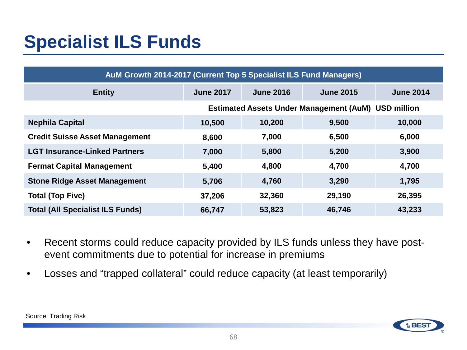# **Specialist ILS Funds**

| AuM Growth 2014-2017 (Current Top 5 Specialist ILS Fund Managers) |                                                            |                  |                  |                  |
|-------------------------------------------------------------------|------------------------------------------------------------|------------------|------------------|------------------|
| <b>Entity</b>                                                     | <b>June 2017</b>                                           | <b>June 2016</b> | <b>June 2015</b> | <b>June 2014</b> |
|                                                                   | <b>Estimated Assets Under Management (AuM) USD million</b> |                  |                  |                  |
| <b>Nephila Capital</b>                                            | 10,500                                                     | 10,200           | 9,500            | 10,000           |
| <b>Credit Suisse Asset Management</b>                             | 8,600                                                      | 7,000            | 6,500            | 6,000            |
| <b>LGT Insurance-Linked Partners</b>                              | 7,000                                                      | 5,800            | 5,200            | 3,900            |
| <b>Fermat Capital Management</b>                                  | 5,400                                                      | 4,800            | 4,700            | 4,700            |
| <b>Stone Ridge Asset Management</b>                               | 5,706                                                      | 4,760            | 3,290            | 1,795            |
| <b>Total (Top Five)</b>                                           | 37,206                                                     | 32,360           | 29,190           | 26,395           |
| <b>Total (All Specialist ILS Funds)</b>                           | 66,747                                                     | 53,823           | 46,746           | 43,233           |

- Recent storms could reduce capacity provided by ILS funds unless they have postevent commitments due to potential for increase in premiums
- Losses and "trapped collateral" could reduce capacity (at least temporarily)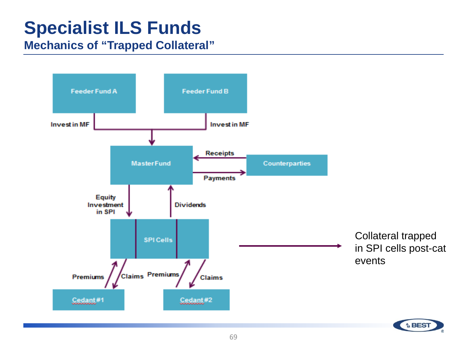# **Specialist ILS Funds**

#### **Mechanics of "Trapped Collateral"**

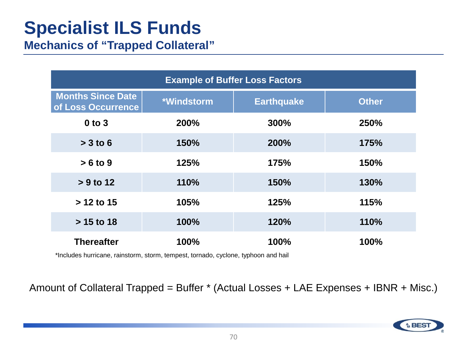# **Specialist ILS Funds**

**Mechanics of "Trapped Collateral"** 

| <b>Example of Buffer Loss Factors</b>          |            |                   |              |  |
|------------------------------------------------|------------|-------------------|--------------|--|
| <b>Months Since Date</b><br>of Loss Occurrence | *Windstorm | <b>Earthquake</b> | <b>Other</b> |  |
| $0$ to $3$                                     | 200%       | 300%              | 250%         |  |
| $> 3$ to 6                                     | 150%       | 200%              | 175%         |  |
| $> 6$ to 9                                     | 125%       | 175%              | 150%         |  |
| $> 9$ to 12                                    | 110%       | 150%              | 130%         |  |
| $> 12$ to 15                                   | 105%       | 125%              | 115%         |  |
| $> 15$ to 18                                   | 100%       | 120%              | 110%         |  |
| <b>Thereafter</b>                              | 100%       | 100%              | 100%         |  |

\*Includes hurricane, rainstorm, storm, tempest, tornado, cyclone, typhoon and hail

Amount of Collateral Trapped = Buffer \* (Actual Losses + LAE Expenses + IBNR + Misc.)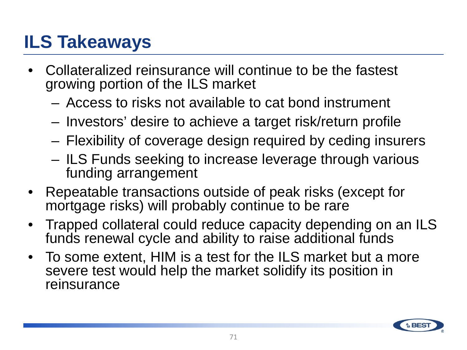# **ILS Takeaways**

- Collateralized reinsurance will continue to be the fastest growing portion of the ILS market
	- Access to risks not available to cat bond instrument
	- Investors' desire to achieve a target risk/return profile
	- Flexibility of coverage design required by ceding insurers
	- ILS Funds seeking to increase leverage through various funding arrangement
- Repeatable transactions outside of peak risks (except for mortgage risks) will probably continue to be rare
- Trapped collateral could reduce capacity depending on an ILS funds renewal cycle and ability to raise additional funds
- To some extent, HIM is a test for the ILS market but a more severe test would help the market solidify its position in reinsurance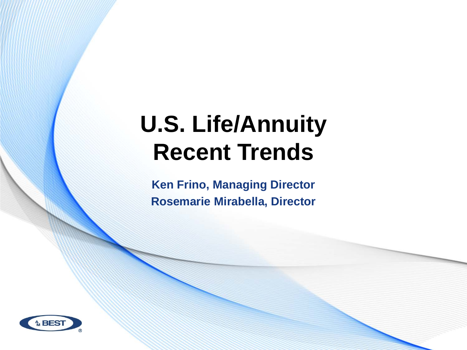# **U.S. Life/Annuity Recent Trends**

**Ken Frino, Managing Director Rosemarie Mirabella, Director**

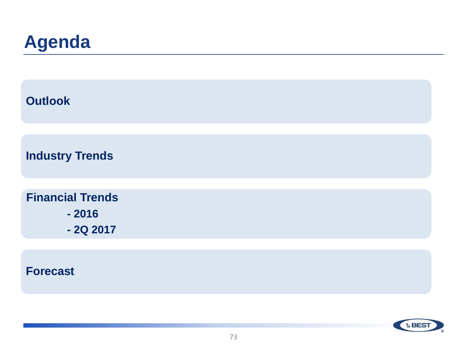### **Agenda**

| <b>Outlook</b>          |  |  |
|-------------------------|--|--|
|                         |  |  |
| <b>Industry Trends</b>  |  |  |
|                         |  |  |
| <b>Financial Trends</b> |  |  |
| $-2016$                 |  |  |
| $-2Q$ 2017              |  |  |
|                         |  |  |
|                         |  |  |

### **Forecast**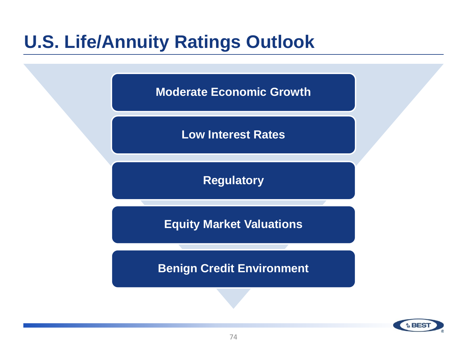### **U.S. Life/Annuity Ratings Outlook**

**Moderate Economic Growth**

**Low Interest Rates**

**Regulatory**

**Equity Market Valuations**

**Benign Credit Environment**

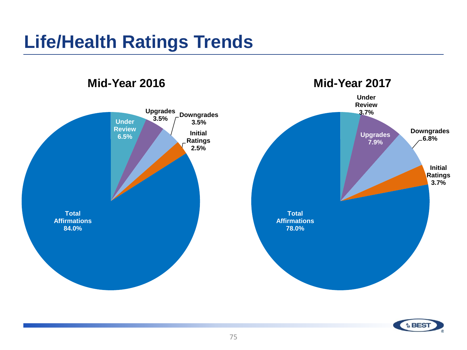### **Life/Health Ratings Trends**

**Under Review 6.5%** Upgrades<br>
3.5% **3.5% Downgrades 3.5% Initial Ratings 2.5% Total Affirmations 84.0% Under Review 3.7% Upgrades 7.9% Downgrades 6.8% Initial Ratings 3.7% Total Affirmations 78.0% Mid-Year 2016 Mid-Year 2017**

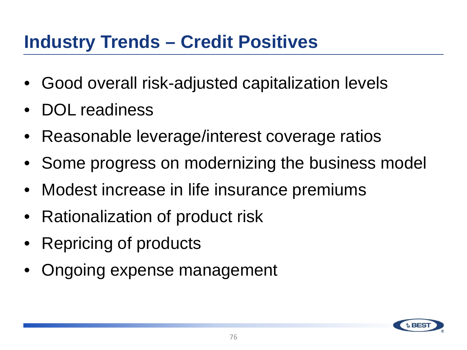### **Industry Trends – Credit Positives**

- Good overall risk-adjusted capitalization levels
- DOL readiness
- Reasonable leverage/interest coverage ratios
- Some progress on modernizing the business model
- Modest increase in life insurance premiums
- Rationalization of product risk
- Repricing of products
- Ongoing expense management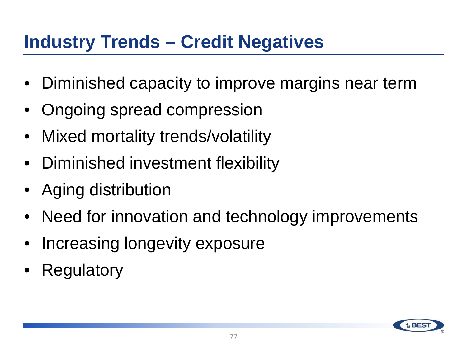### **Industry Trends – Credit Negatives**

- Diminished capacity to improve margins near term
- Ongoing spread compression
- Mixed mortality trends/volatility
- Diminished investment flexibility
- Aging distribution
- Need for innovation and technology improvements
- Increasing longevity exposure
- **Regulatory**

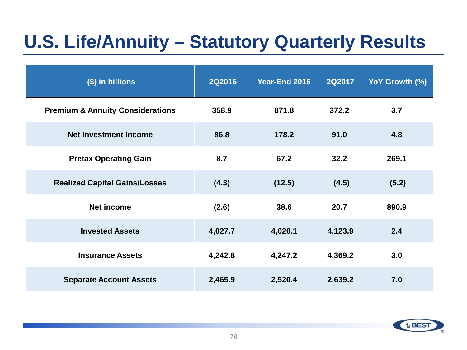# **U.S. Life/Annuity – Statutory Quarterly Results**

| (\$) in billions                            | <b>2Q2016</b> | Year-End 2016 | <b>2Q2017</b> | YoY Growth (%) |
|---------------------------------------------|---------------|---------------|---------------|----------------|
| <b>Premium &amp; Annuity Considerations</b> | 358.9         | 871.8         | 372.2         | 3.7            |
| <b>Net Investment Income</b>                | 86.8          | 178.2         | 91.0          | 4.8            |
| <b>Pretax Operating Gain</b>                | 8.7           | 67.2          | 32.2          | 269.1          |
| <b>Realized Capital Gains/Losses</b>        | (4.3)         | (12.5)        | (4.5)         | (5.2)          |
| <b>Net income</b>                           | (2.6)         | 38.6          | 20.7          | 890.9          |
| <b>Invested Assets</b>                      | 4,027.7       | 4,020.1       | 4,123.9       | 2.4            |
| <b>Insurance Assets</b>                     | 4,242.8       | 4,247.2       | 4,369.2       | 3.0            |
| <b>Separate Account Assets</b>              | 2,465.9       | 2,520.4       | 2,639.2       | 7.0            |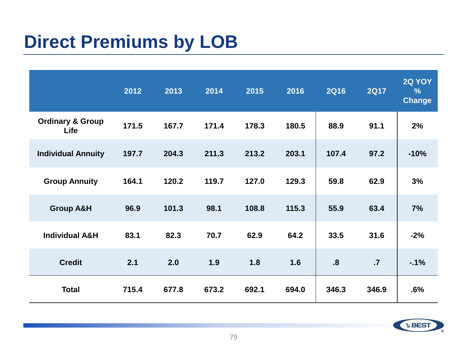### **Direct Premiums by LOB**

|                                            | 2012  | 2013  | 2014  | 2015  | 2016  | <b>2Q16</b>               | <b>2Q17</b> | <b>2Q YOY</b><br>$\frac{9}{6}$<br><b>Change</b> |
|--------------------------------------------|-------|-------|-------|-------|-------|---------------------------|-------------|-------------------------------------------------|
| <b>Ordinary &amp; Group</b><br><b>Life</b> | 171.5 | 167.7 | 171.4 | 178.3 | 180.5 | 88.9                      | 91.1        | 2%                                              |
| <b>Individual Annuity</b>                  | 197.7 | 204.3 | 211.3 | 213.2 | 203.1 | 107.4                     | 97.2        | $-10%$                                          |
| <b>Group Annuity</b>                       | 164.1 | 120.2 | 119.7 | 127.0 | 129.3 | 59.8                      | 62.9        | 3%                                              |
| <b>Group A&amp;H</b>                       | 96.9  | 101.3 | 98.1  | 108.8 | 115.3 | 55.9                      | 63.4        | 7%                                              |
| <b>Individual A&amp;H</b>                  | 83.1  | 82.3  | 70.7  | 62.9  | 64.2  | 33.5                      | 31.6        | $-2%$                                           |
| <b>Credit</b>                              | 2.1   | 2.0   | 1.9   | 1.8   | 1.6   | $\overline{\mathbf{8}}$ . | $\cdot$     | $-1%$                                           |
| <b>Total</b>                               | 715.4 | 677.8 | 673.2 | 692.1 | 694.0 | 346.3                     | 346.9       | .6%                                             |

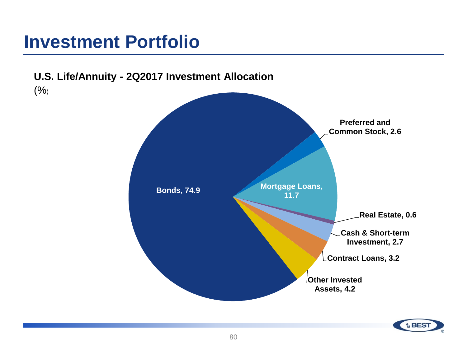### **Investment Portfolio**



**A** BES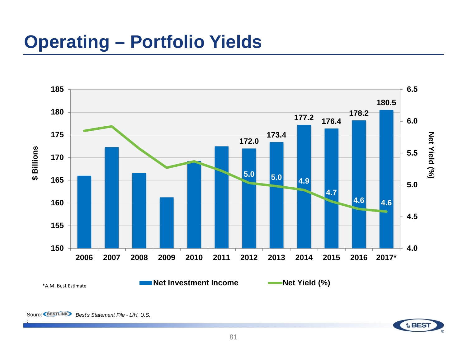### **Operating – Portfolio Yields**



: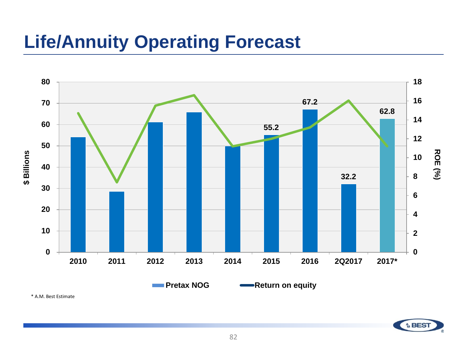### **Life/Annuity Operating Forecast**



\* A.M. Best Estimate

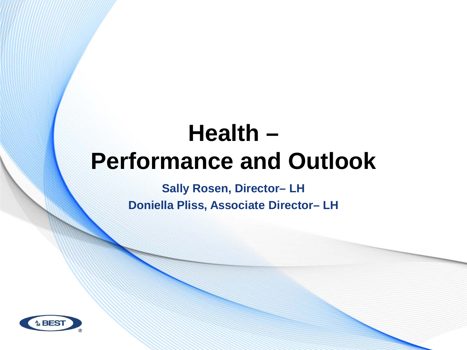# **Health – Performance and Outlook**

**Sally Rosen, Director– LH Doniella Pliss, Associate Director– LH** 

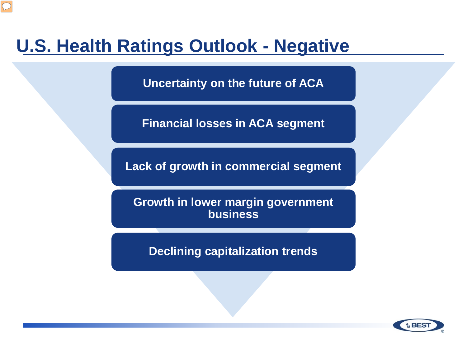### **U.S. Health Ratings Outlook - Negative**

**Uncertainty on the future of ACA**

**Financial losses in ACA segment**

**Lack of growth in commercial segment**

**Growth in lower margin government business**

**Declining capitalization trends**

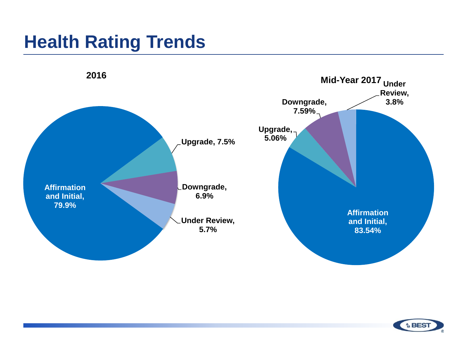### **Health Rating Trends**



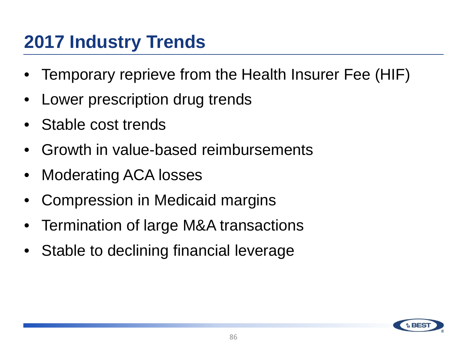### **2017 Industry Trends**

- Temporary reprieve from the Health Insurer Fee (HIF)
- Lower prescription drug trends
- Stable cost trends
- Growth in value-based reimbursements
- Moderating ACA losses
- Compression in Medicaid margins
- Termination of large M&A transactions
- Stable to declining financial leverage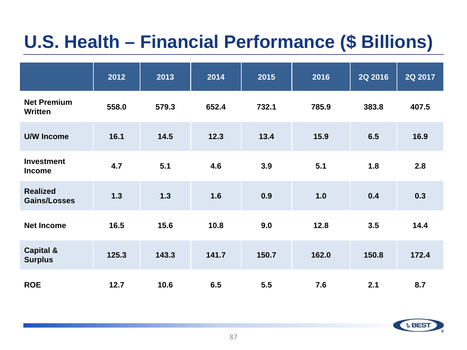# **U.S. Health – Financial Performance (\$ Billions)**

|                                        | 2012  | 2013  | 2014  | 2015  | 2016  | 2Q 2016 | 2Q 2017 |
|----------------------------------------|-------|-------|-------|-------|-------|---------|---------|
| <b>Net Premium</b><br>Written          | 558.0 | 579.3 | 652.4 | 732.1 | 785.9 | 383.8   | 407.5   |
| <b>U/W Income</b>                      | 16.1  | 14.5  | 12.3  | 13.4  | 15.9  | 6.5     | 16.9    |
| <b>Investment</b><br><b>Income</b>     | 4.7   | 5.1   | 4.6   | 3.9   | 5.1   | 1.8     | 2.8     |
| <b>Realized</b><br><b>Gains/Losses</b> | $1.3$ | $1.3$ | 1.6   | 0.9   | 1.0   | 0.4     | 0.3     |
| <b>Net Income</b>                      | 16.5  | 15.6  | 10.8  | 9.0   | 12.8  | 3.5     | 14.4    |
| <b>Capital &amp;</b><br><b>Surplus</b> | 125.3 | 143.3 | 141.7 | 150.7 | 162.0 | 150.8   | 172.4   |
| <b>ROE</b>                             | 12.7  | 10.6  | 6.5   | 5.5   | 7.6   | 2.1     | 8.7     |

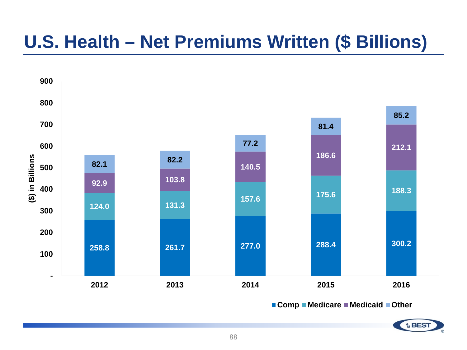### **U.S. Health – Net Premiums Written (\$ Billions)**



■ Comp ■ Medicare ■ Medicaid ■ Other

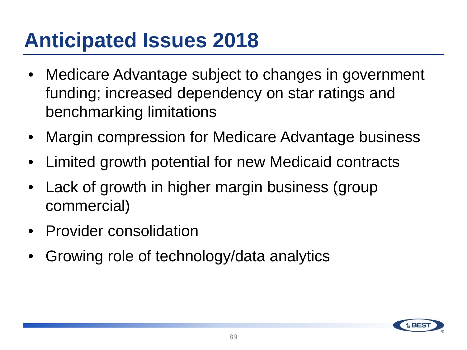# **Anticipated Issues 2018**

- Medicare Advantage subject to changes in government funding; increased dependency on star ratings and benchmarking limitations
- Margin compression for Medicare Advantage business
- Limited growth potential for new Medicaid contracts
- Lack of growth in higher margin business (group commercial)
- Provider consolidation
- Growing role of technology/data analytics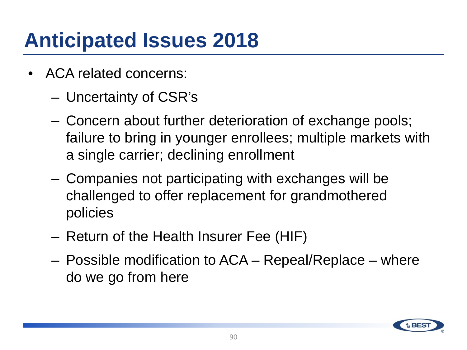# **Anticipated Issues 2018**

- ACA related concerns:
	- Uncertainty of CSR's
	- Concern about further deterioration of exchange pools; failure to bring in younger enrollees; multiple markets with a single carrier; declining enrollment
	- Companies not participating with exchanges will be challenged to offer replacement for grandmothered policies
	- Return of the Health Insurer Fee (HIF)
	- Possible modification to ACA Repeal/Replace where do we go from here

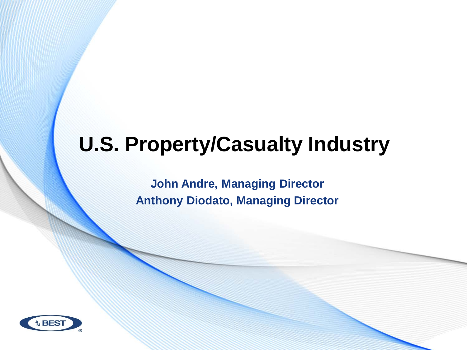# **U.S. Property/Casualty Industry**

**John Andre, Managing Director Anthony Diodato, Managing Director**

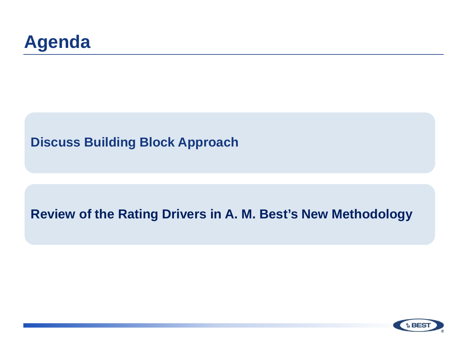

### **Discuss Building Block Approach**

### **Review of the Rating Drivers in A. M. Best's New Methodology**

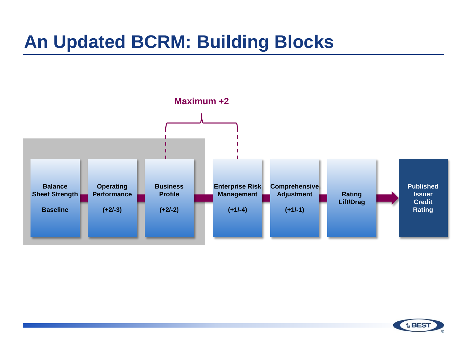### **An Updated BCRM: Building Blocks**



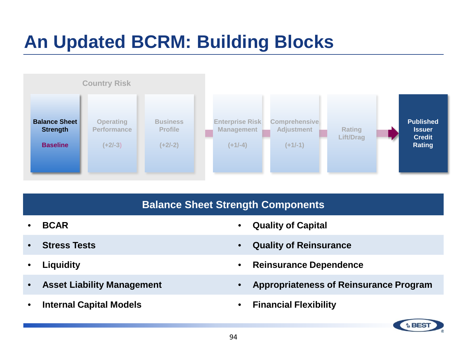### **An Updated BCRM: Building Blocks**



#### **Balance Sheet Strength Components**

- 
- 
- 
- 
- **Internal Capital Models Financial Flexibility**
- **BCAR Quality of Capital**
- **Stress Tests Quality of Reinsurance**
- **Liquidity Reinsurance Dependence**
- **Asset Liability Management Appropriateness of Reinsurance Program**
	-

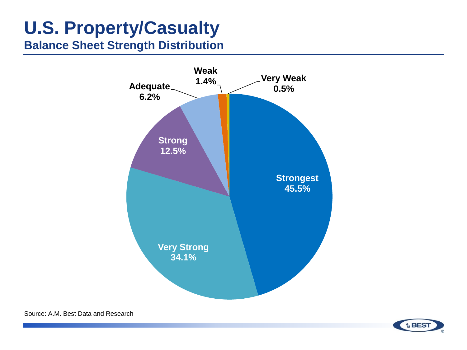**Balance Sheet Strength Distribution**



Source: A.M. Best Data and Research

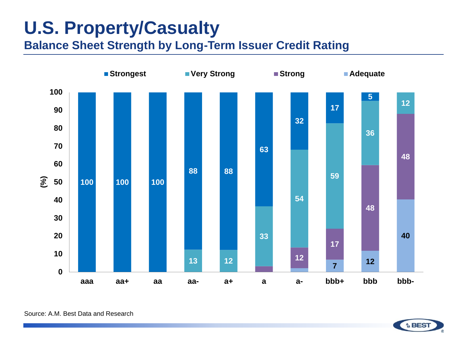**Balance Sheet Strength by Long-Term Issuer Credit Rating**



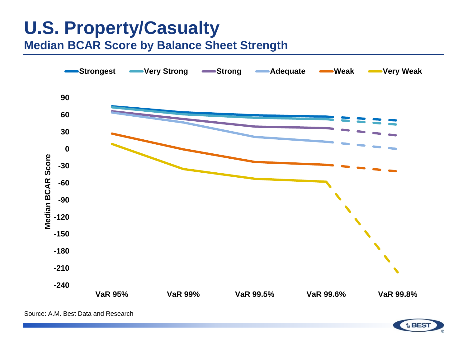**Median BCAR Score by Balance Sheet Strength**

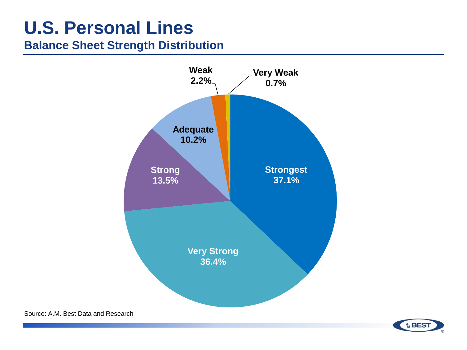### **U.S. Personal Lines**

### **Balance Sheet Strength Distribution**





Source: A.M. Best Data and Research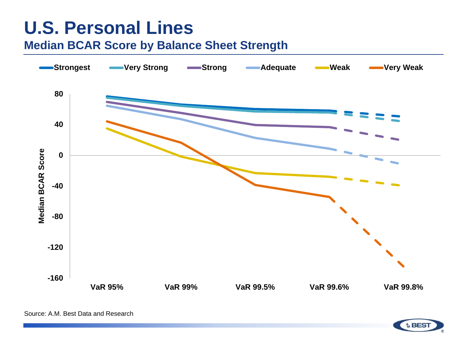### **U.S. Personal Lines**

### **Median BCAR Score by Balance Sheet Strength**



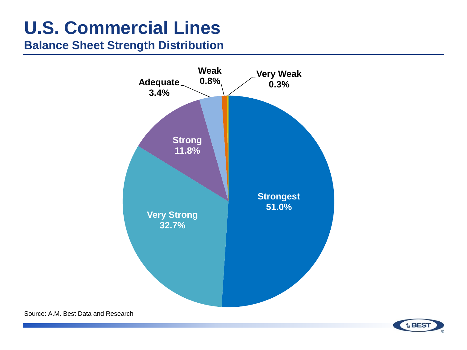# **U.S. Commercial Lines**

### **Balance Sheet Strength Distribution**



Source: A.M. Best Data and Research

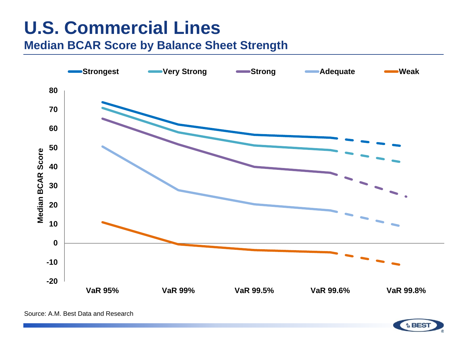# **U.S. Commercial Lines**

### **Median BCAR Score by Balance Sheet Strength**



Source: A.M. Best Data and Research

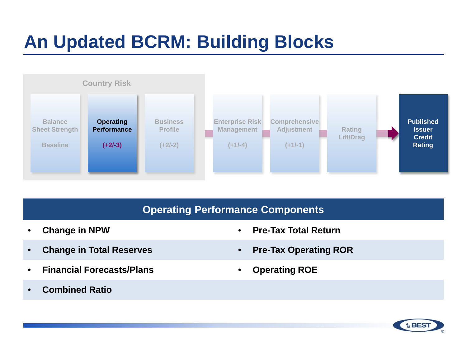### **An Updated BCRM: Building Blocks**



#### **Operating Performance Components**

- 
- **Change in Total Reserves Pre-Tax Operating ROR**
- **Financial Forecasts/Plans Operating ROE**
- **Change in NPW Pre-Tax Total Return**
	-
	-

• **Combined Ratio** 

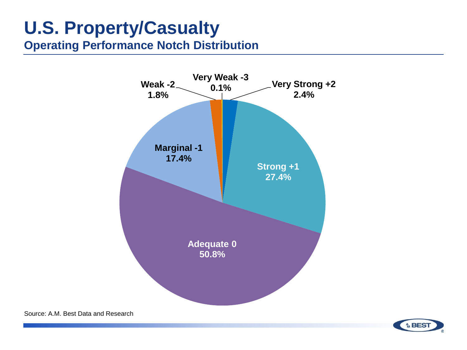### **Operating Performance Notch Distribution**



Source: A.M. Best Data and Research

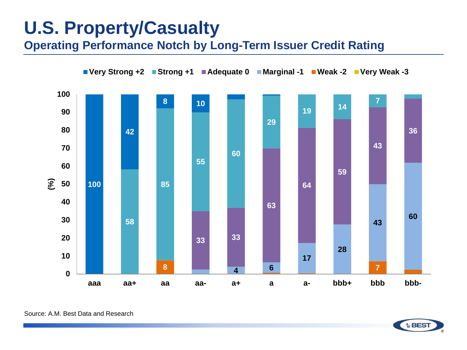**Operating Performance Notch by Long-Term Issuer Credit Rating**



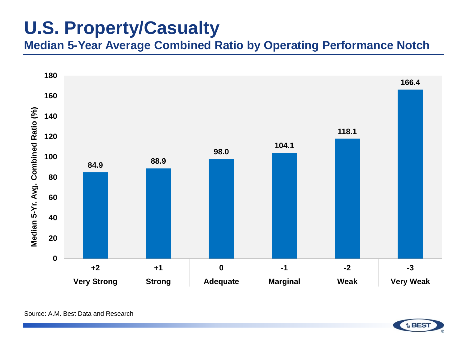**Median 5-Year Average Combined Ratio by Operating Performance Notch**



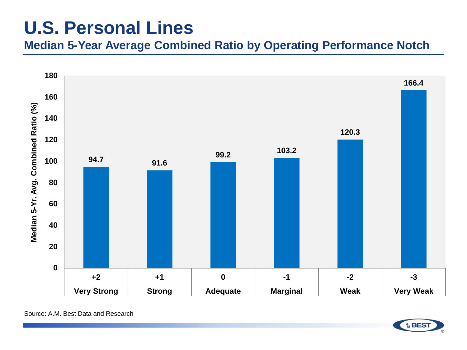### **U.S. Personal Lines**

**Median 5-Year Average Combined Ratio by Operating Performance Notch**



Source: A.M. Best Data and Research

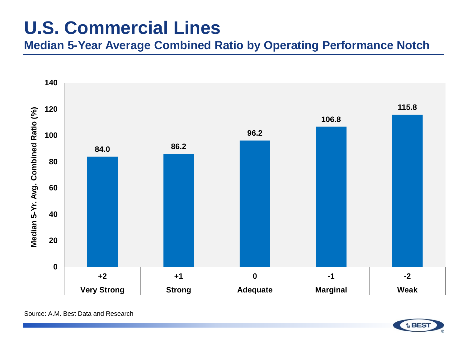### **U.S. Commercial Lines**

**Median 5-Year Average Combined Ratio by Operating Performance Notch**



Source: A.M. Best Data and Research

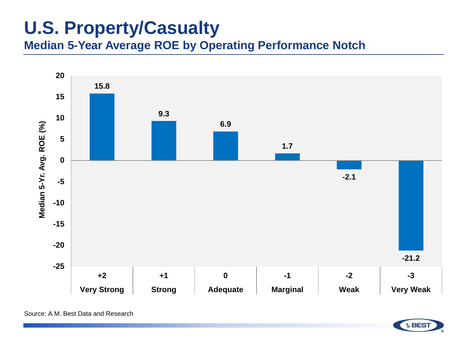**Median 5-Year Average ROE by Operating Performance Notch**



Source: A.M. Best Data and Research

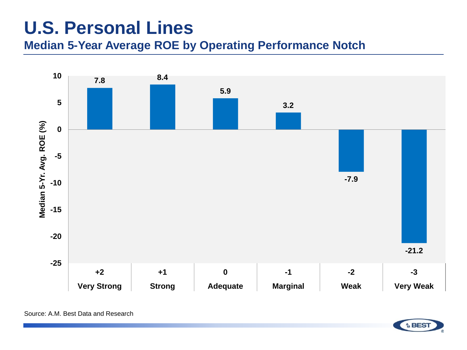## **U.S. Personal Lines**

### **Median 5-Year Average ROE by Operating Performance Notch**



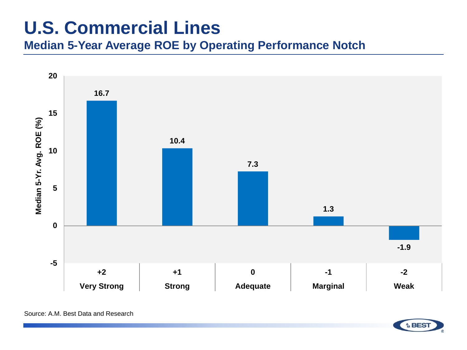# **U.S. Commercial Lines**

**Median 5-Year Average ROE by Operating Performance Notch**



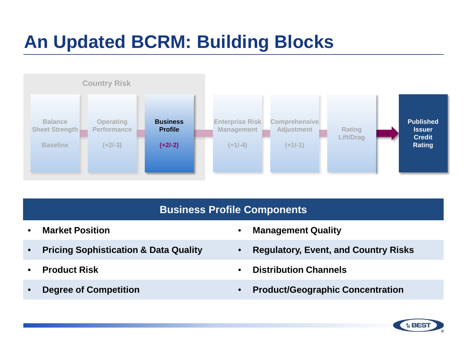

#### **Business Profile Components**

- 
- 
- 
- 
- **Market Position Management Quality**
- **Pricing Sophistication & Data Quality Regulatory, Event, and Country Risks**
- **Product Risk Distribution Channels**
- **Degree of Competition Product/Geographic Concentration**

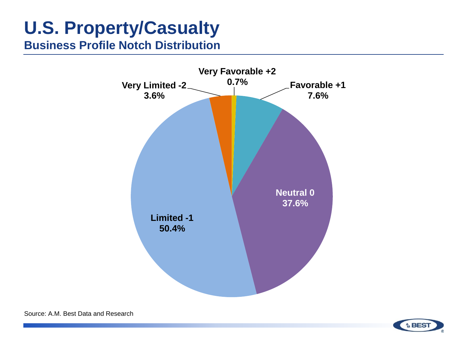**Business Profile Notch Distribution**



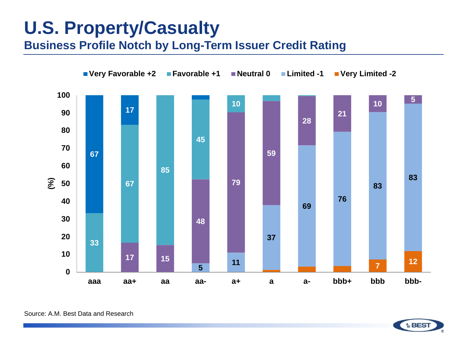**Business Profile Notch by Long-Term Issuer Credit Rating**



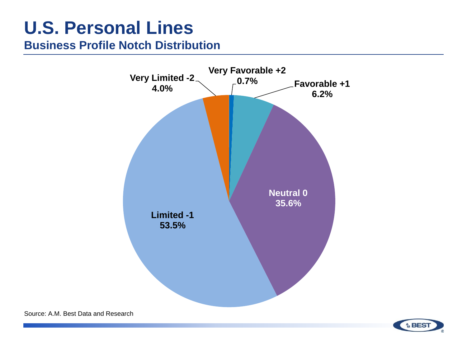## **U.S. Personal Lines**

### **Business Profile Notch Distribution**



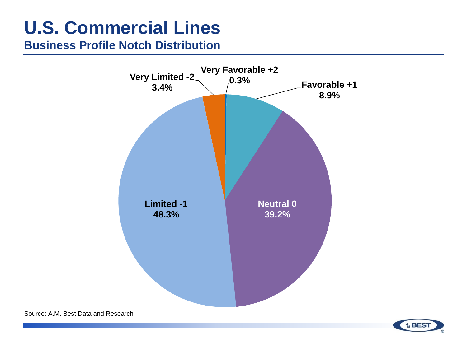# **U.S. Commercial Lines**

#### **Business Profile Notch Distribution**



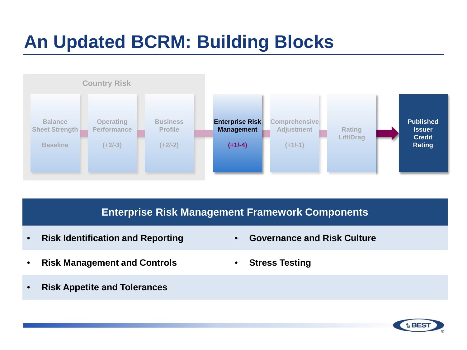

#### **Enterprise Risk Management Framework Components**

- **Risk Identification and Reporting Governance and Risk Culture**
- **Risk Management and Controls Stress Testing**
- **Risk Appetite and Tolerances**
- 
- 

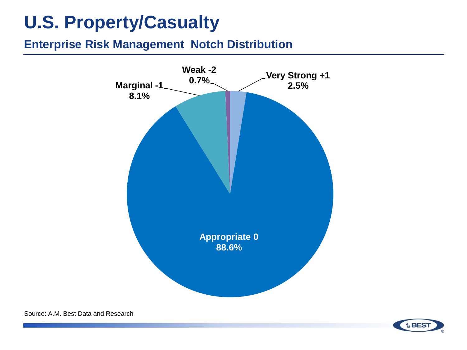#### **Enterprise Risk Management Notch Distribution**



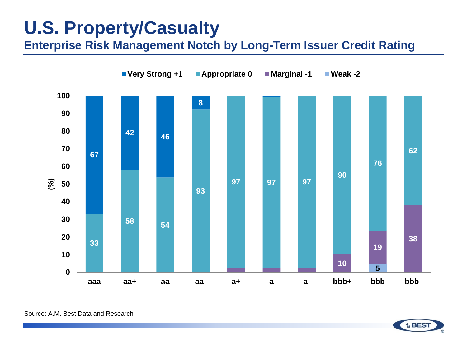**Enterprise Risk Management Notch by Long-Term Issuer Credit Rating**



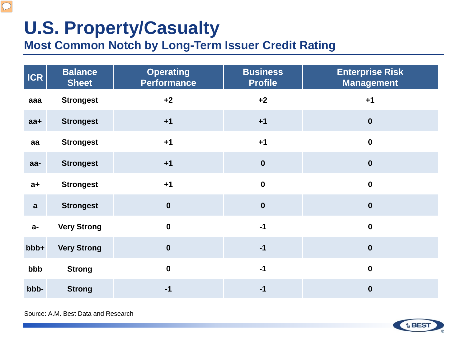$\boxed{\bigcirc}$ 

### **Most Common Notch by Long-Term Issuer Credit Rating**

| <b>ICR</b>   | <b>Balance</b><br><b>Sheet</b> | <b>Operating</b><br><b>Performance</b> | <b>Business</b><br><b>Profile</b> | <b>Enterprise Risk</b><br><b>Management</b> |
|--------------|--------------------------------|----------------------------------------|-----------------------------------|---------------------------------------------|
| aaa          | <b>Strongest</b>               | $+2$                                   | $+2$                              | $+1$                                        |
| $aa+$        | <b>Strongest</b>               | $+1$                                   | $+1$                              | $\boldsymbol{0}$                            |
| aa           | <b>Strongest</b>               | $+1$                                   | $+1$                              | $\pmb{0}$                                   |
| aa-          | <b>Strongest</b>               | $+1$                                   | $\mathbf 0$                       | $\boldsymbol{0}$                            |
| $a+$         | <b>Strongest</b>               | $+1$                                   | $\mathbf 0$                       | $\mathbf 0$                                 |
| $\mathbf{a}$ | <b>Strongest</b>               | $\mathbf 0$                            | $\mathbf 0$                       | $\boldsymbol{0}$                            |
| $a-$         | <b>Very Strong</b>             | $\mathbf 0$                            | $-1$                              | $\mathbf 0$                                 |
| bbb+         | <b>Very Strong</b>             | $\mathbf 0$                            | $-1$                              | $\pmb{0}$                                   |
| bbb          | <b>Strong</b>                  | $\mathbf 0$                            | $-1$                              | $\mathbf 0$                                 |
| bbb-         | <b>Strong</b>                  | $-1$                                   | $-1$                              | $\boldsymbol{0}$                            |

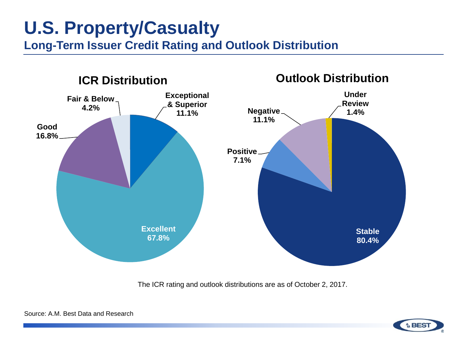**Long-Term Issuer Credit Rating and Outlook Distribution**



The ICR rating and outlook distributions are as of October 2, 2017.



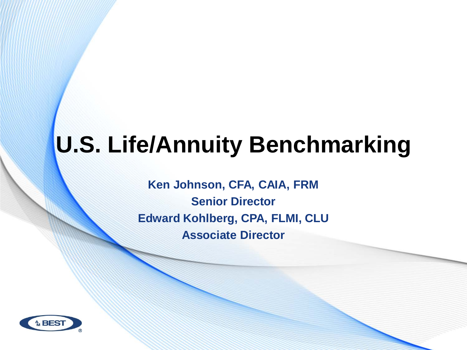# **U.S. Life/Annuity Benchmarking**

**Ken Johnson, CFA, CAIA, FRM Senior Director Edward Kohlberg, CPA, FLMI, CLU Associate Director**

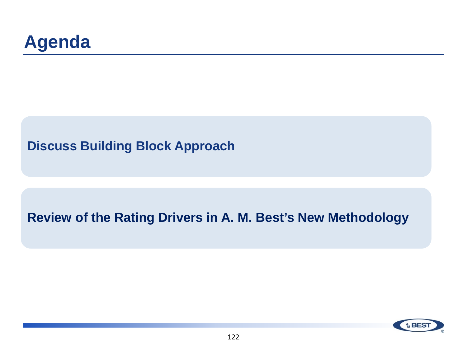### **Discuss Building Block Approach**

### **Review of the Rating Drivers in A. M. Best's New Methodology**

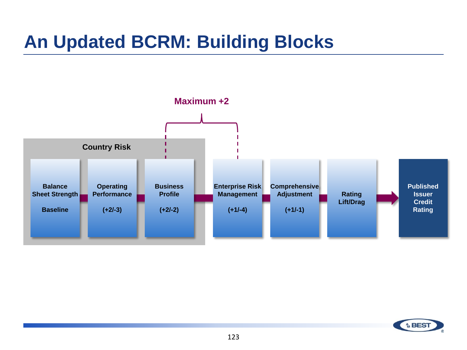

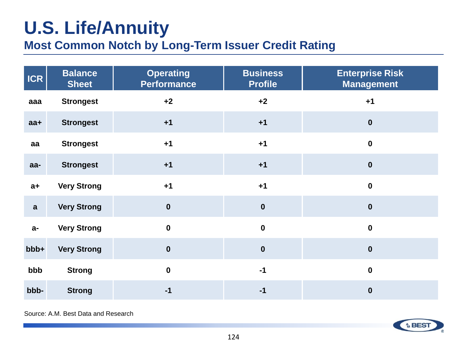# **U.S. Life/Annuity**

### **Most Common Notch by Long-Term Issuer Credit Rating**

| <b>ICR</b>   | <b>Balance</b><br><b>Sheet</b> | <b>Operating</b><br><b>Performance</b> | <b>Business</b><br><b>Profile</b> | <b>Enterprise Risk</b><br><b>Management</b> |
|--------------|--------------------------------|----------------------------------------|-----------------------------------|---------------------------------------------|
| aaa          | <b>Strongest</b>               | $+2$                                   | $+2$                              | $+1$                                        |
| $aa+$        | <b>Strongest</b>               | $+1$                                   | $+1$                              | $\boldsymbol{0}$                            |
| aa           | <b>Strongest</b>               | $+1$                                   | $+1$                              | $\mathbf 0$                                 |
| aa-          | <b>Strongest</b>               | $+1$                                   | $+1$                              | $\boldsymbol{0}$                            |
| $a+$         | <b>Very Strong</b>             | $+1$                                   | $+1$                              | $\mathbf 0$                                 |
| $\mathbf{a}$ | <b>Very Strong</b>             | $\boldsymbol{0}$                       | $\boldsymbol{0}$                  | $\bf{0}$                                    |
| $a-$         | <b>Very Strong</b>             | $\mathbf 0$                            | $\mathbf 0$                       | $\mathbf 0$                                 |
| bbb+         | <b>Very Strong</b>             | $\mathbf 0$                            | $\boldsymbol{0}$                  | $\boldsymbol{0}$                            |
| bbb          | <b>Strong</b>                  | $\mathbf 0$                            | $-1$                              | $\boldsymbol{0}$                            |
| bbb-         | <b>Strong</b>                  | $-1$                                   | $-1$                              | $\boldsymbol{0}$                            |

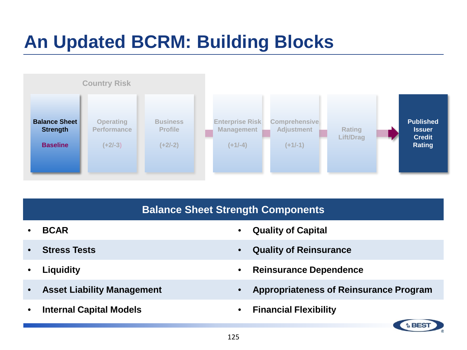

#### **Balance Sheet Strength Components**

- 
- 
- 
- 
- **Internal Capital Models Financial Flexibility**
- **BCAR Quality of Capital**
- **Stress Tests Quality of Reinsurance**
- **Liquidity Reinsurance Dependence**
- **Asset Liability Management Appropriateness of Reinsurance Program**
	-

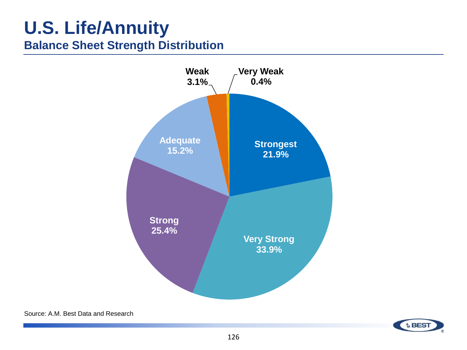### **U.S. Life/Annuity Balance Sheet Strength Distribution**



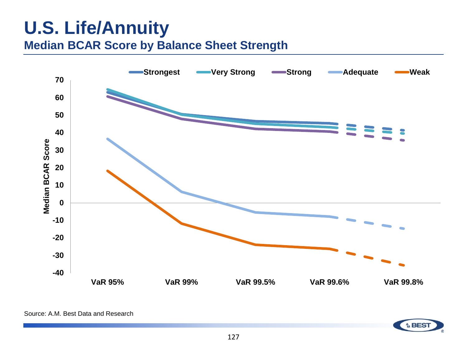### **U.S. Life/Annuity Median BCAR Score by Balance Sheet Strength**



Source: A.M. Best Data and Research

**A** BES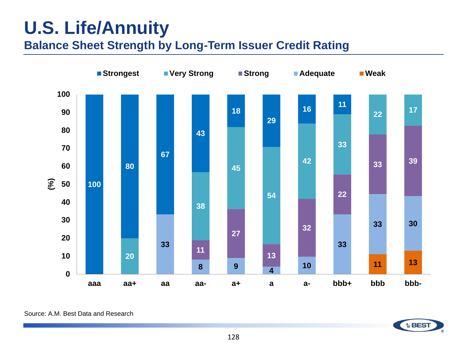### **U.S. Life/Annuity Balance Sheet Strength by Long-Term Issuer Credit Rating**

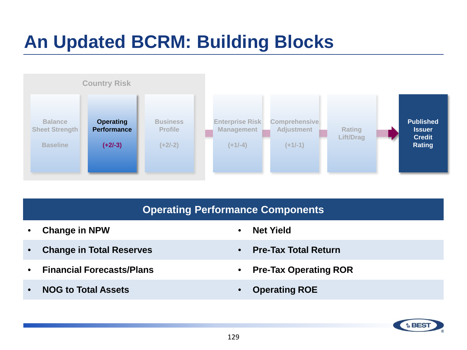

#### **Operating Performance Components**

- **Change in NPW Net Yield**
- **Change in Total Reserves Pre-Tax Total Return**
- **Financial Forecasts/Plans Pre-Tax Operating ROR**
- **NOG to Total Assets Operating ROE**
- 
- 
- 
- 

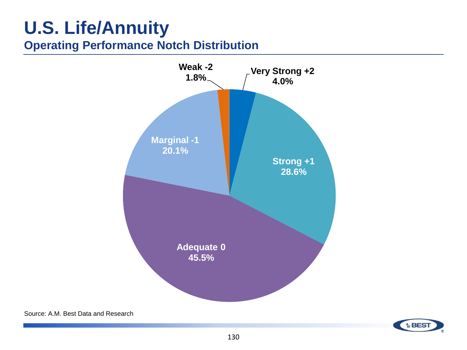### **U.S. Life/Annuity Operating Performance Notch Distribution**



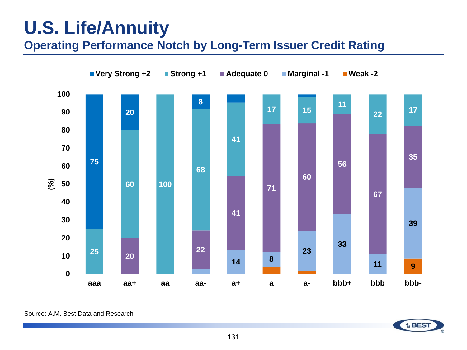## **U.S. Life/Annuity**

**Operating Performance Notch by Long-Term Issuer Credit Rating**



Source: A.M. Best Data and Research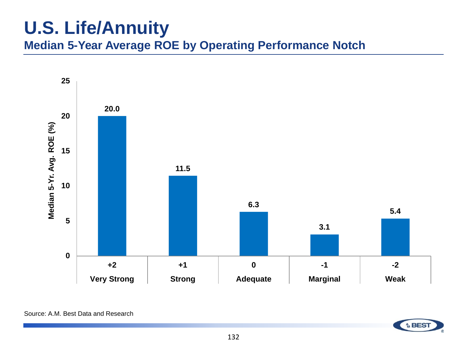## **U.S. Life/Annuity**

**Median 5-Year Average ROE by Operating Performance Notch**

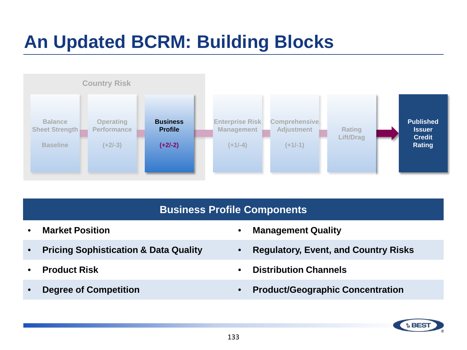

#### **Business Profile Components**

- 
- 
- 
- 
- **Market Position Management Quality**
- **Pricing Sophistication & Data Quality Regulatory, Event, and Country Risks**
- **Product Risk Distribution Channels**
- **Degree of Competition Product/Geographic Concentration**

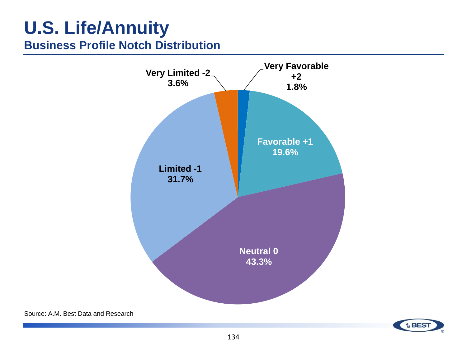### **U.S. Life/Annuity Business Profile Notch Distribution**



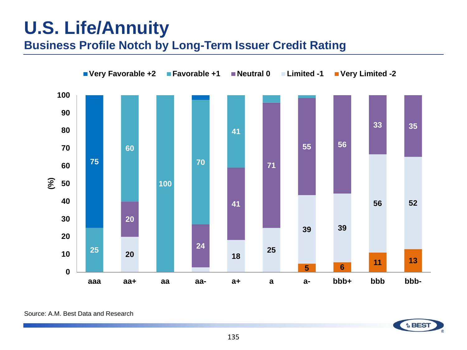### **U.S. Life/Annuity Business Profile Notch by Long-Term Issuer Credit Rating**



Source: A.M. Best Data and Research

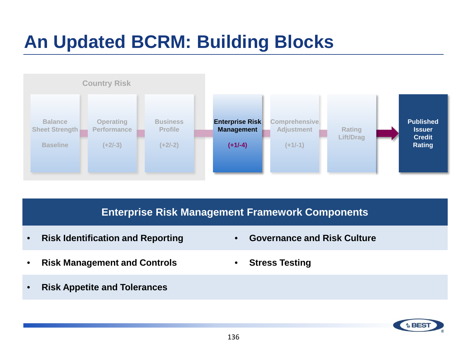

#### **Enterprise Risk Management Framework Components**

- **Risk Identification and Reporting Governance and Risk Culture**
- **Risk Management and Controls Stress Testing**
- **Risk Appetite and Tolerances**
- 
- 

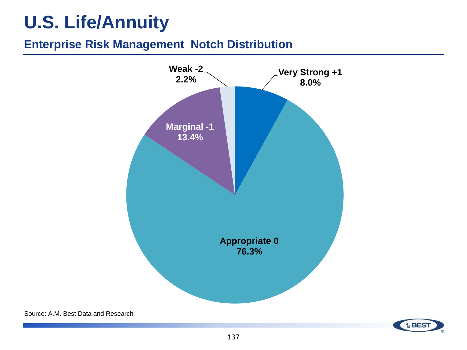# **U.S. Life/Annuity**

### **Enterprise Risk Management Notch Distribution**



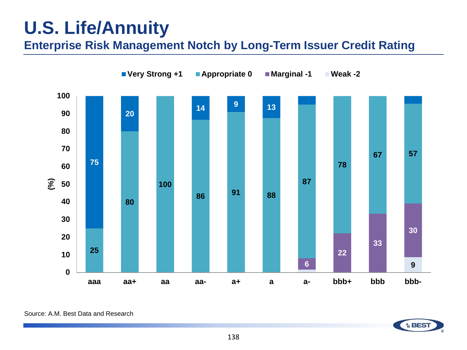# **U.S. Life/Annuity**

**Enterprise Risk Management Notch by Long-Term Issuer Credit Rating**



Source: A.M. Best Data and Research

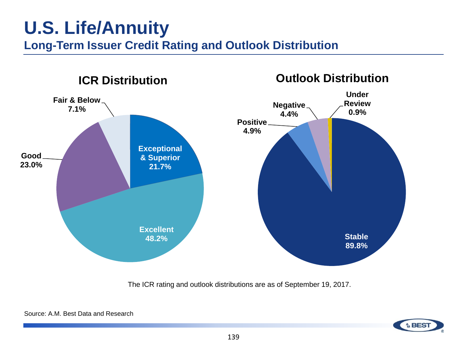### **U.S. Life/Annuity Long-Term Issuer Credit Rating and Outlook Distribution**



The ICR rating and outlook distributions are as of September 19, 2017.

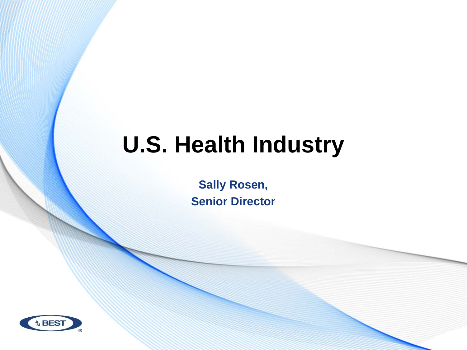# **U.S. Health Industry**

**Sally Rosen, Senior Director**

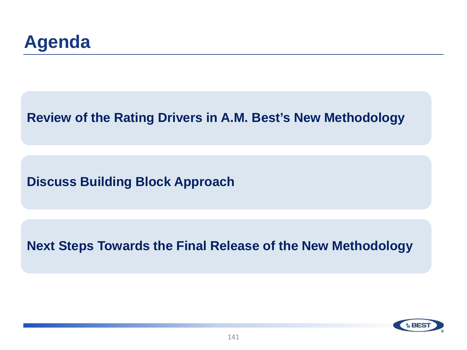**Review of the Rating Drivers in A.M. Best's New Methodology**

**Discuss Building Block Approach**

**Next Steps Towards the Final Release of the New Methodology**

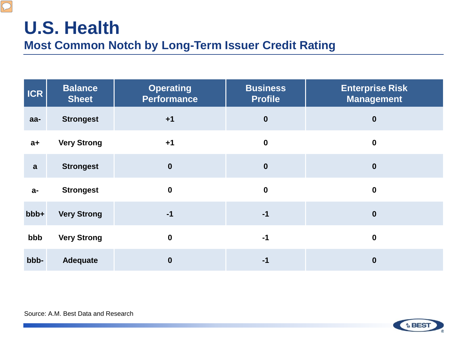### **U.S. Health Most Common Notch by Long-Term Issuer Credit Rating**

| <b>ICR</b>   | <b>Balance</b><br><b>Sheet</b> | <b>Operating</b><br><b>Performance</b> | <b>Business</b><br><b>Profile</b> | <b>Enterprise Risk</b><br><b>Management</b> |
|--------------|--------------------------------|----------------------------------------|-----------------------------------|---------------------------------------------|
| $aa-$        | <b>Strongest</b>               | $+1$                                   | $\boldsymbol{0}$                  | $\boldsymbol{0}$                            |
| $a+$         | <b>Very Strong</b>             | $+1$                                   | $\boldsymbol{0}$                  | $\boldsymbol{0}$                            |
| $\mathbf{a}$ | <b>Strongest</b>               | $\boldsymbol{0}$                       | $\boldsymbol{0}$                  | $\boldsymbol{0}$                            |
| $a-$         | <b>Strongest</b>               | $\mathbf 0$                            | $\mathbf 0$                       | $\boldsymbol{0}$                            |
| bbb+         | <b>Very Strong</b>             | $-1$                                   | $-1$                              | $\bf{0}$                                    |
| bbb          | <b>Very Strong</b>             | $\mathbf 0$                            | $-1$                              | $\boldsymbol{0}$                            |
| bbb-         | <b>Adequate</b>                | $\boldsymbol{0}$                       | $-1$                              | $\boldsymbol{0}$                            |

Source: A.M. Best Data and Research

 $\boxed{\bigcirc}$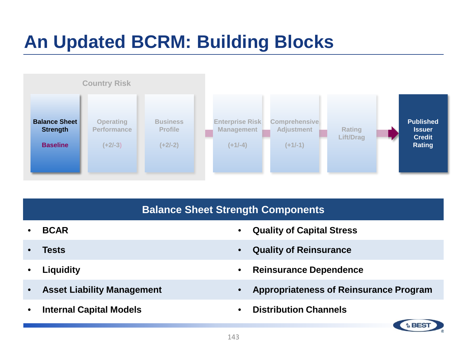

#### **Balance Sheet Strength Components**

- 
- 
- 
- 
- 
- **BCAR Quality of Capital Stress**
- **Tests Quality of Reinsurance**
- **Liquidity Reinsurance Dependence**
- **Asset Liability Management Appropriateness of Reinsurance Program**
	- **Internal Capital Models Distribution Channels**

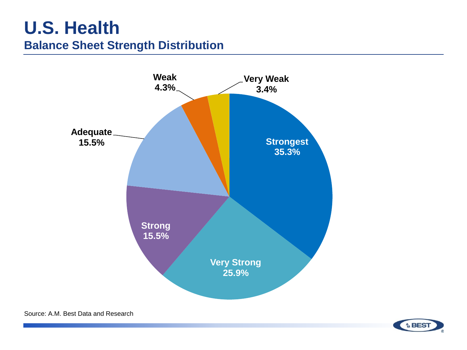### **U.S. Health Balance Sheet Strength Distribution**



**A** BES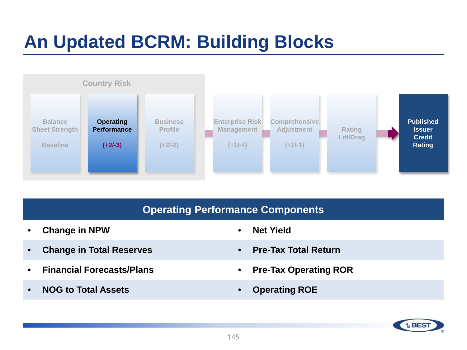## **An Updated BCRM: Building Blocks**



#### **Operating Performance Components**

- **Change in NPW Net Yield**
- **Change in Total Reserves Pre-Tax Total Return**
- **Financial Forecasts/Plans Pre-Tax Operating ROR**
- **NOG to Total Assets Operating ROE**
- 
- 
- 
- 

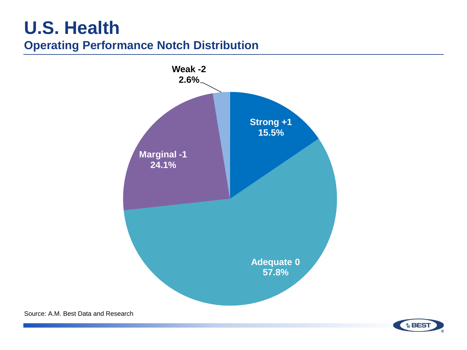### **U.S. Health Operating Performance Notch Distribution**



Source: A.M. Best Data and Research

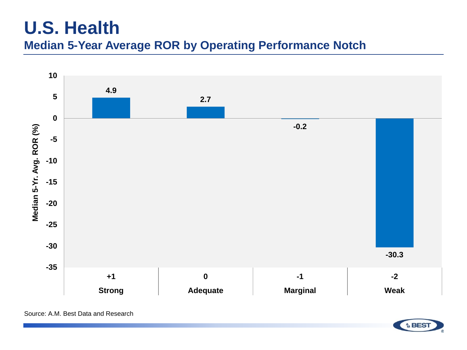### **U.S. Health Median 5-Year Average ROR by Operating Performance Notch**



**A BEST**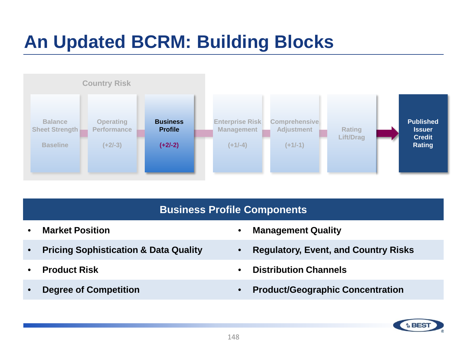## **An Updated BCRM: Building Blocks**



#### **Business Profile Components**

- 
- 
- 
- 
- **Market Position Management Quality**
- **Pricing Sophistication & Data Quality Regulatory, Event, and Country Risks**
- **Product Risk Distribution Channels**
- **Degree of Competition Product/Geographic Concentration**

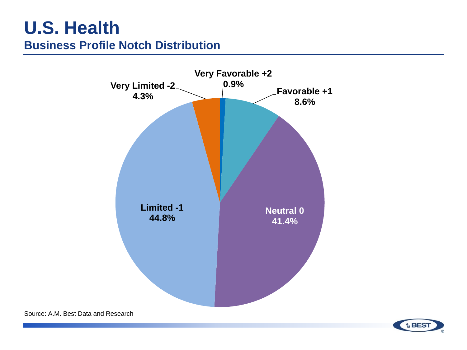### **U.S. Health Business Profile Notch Distribution**



Source: A.M. Best Data and Research

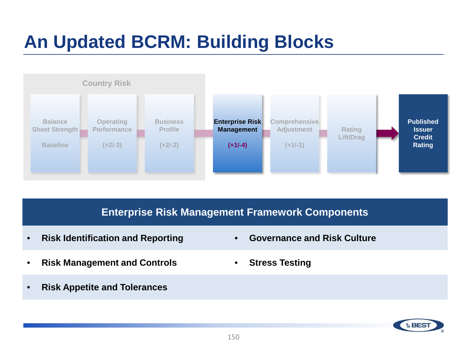## **An Updated BCRM: Building Blocks**



#### **Enterprise Risk Management Framework Components**

- **Risk Identification and Reporting Governance and Risk Culture**
- **Risk Management and Controls Stress Testing**
- **Risk Appetite and Tolerances**
- 
- 

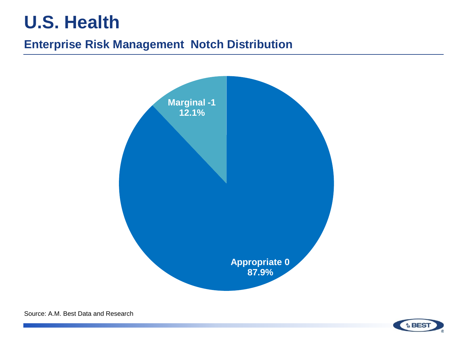## **U.S. Health**

#### **Enterprise Risk Management Notch Distribution**



**A**<sub>M</sub> BES

Source: A.M. Best Data and Research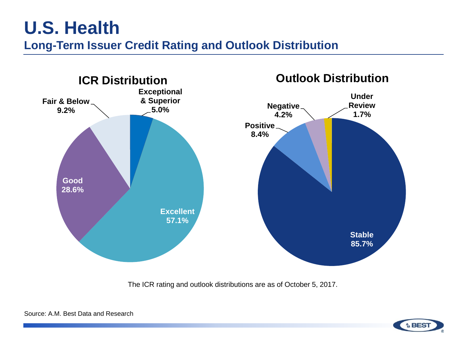### **U.S. Health Long-Term Issuer Credit Rating and Outlook Distribution**



The ICR rating and outlook distributions are as of October 5, 2017.



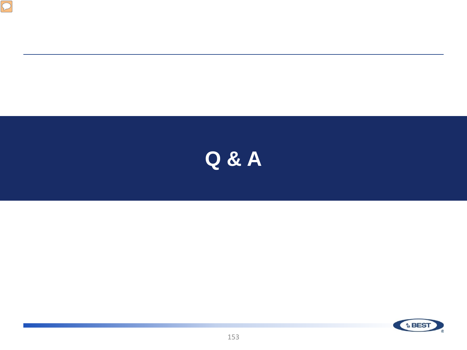



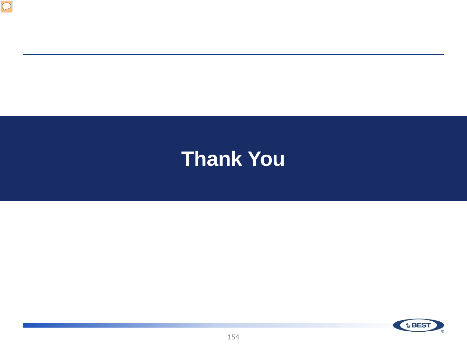

# **Thank You**